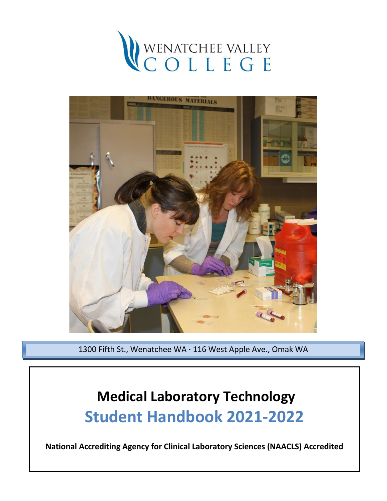



1300 Fifth St., Wenatchee WA **·** 116 West Apple Ave., Omak WA

# **Medical Laboratory Technology Student Handbook 2021-2022**

**National Accrediting Agency for Clinical Laboratory Sciences (NAACLS) Accredited**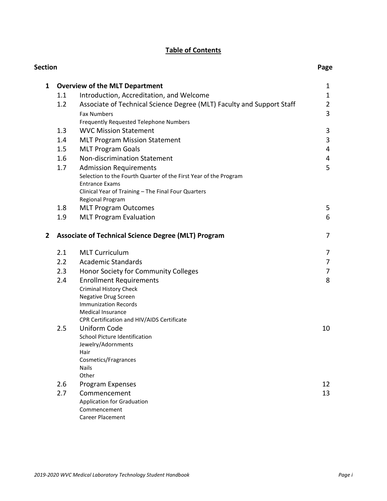# **Table of Contents**

| <b>Section</b> |     |                                                                       | Page           |
|----------------|-----|-----------------------------------------------------------------------|----------------|
| 1              |     | <b>Overview of the MLT Department</b>                                 | 1              |
|                | 1.1 | Introduction, Accreditation, and Welcome                              | $\mathbf{1}$   |
|                | 1.2 | Associate of Technical Science Degree (MLT) Faculty and Support Staff | $\overline{2}$ |
|                |     | <b>Fax Numbers</b>                                                    | 3              |
|                |     | Frequently Requested Telephone Numbers                                |                |
|                | 1.3 | <b>WVC Mission Statement</b>                                          | 3              |
|                | 1.4 | <b>MLT Program Mission Statement</b>                                  | 3              |
|                | 1.5 | <b>MLT Program Goals</b>                                              | 4              |
|                | 1.6 | Non-discrimination Statement                                          | 4              |
|                | 1.7 | <b>Admission Requirements</b>                                         | 5              |
|                |     | Selection to the Fourth Quarter of the First Year of the Program      |                |
|                |     | <b>Entrance Exams</b>                                                 |                |
|                |     | Clinical Year of Training - The Final Four Quarters                   |                |
|                |     | <b>Regional Program</b>                                               |                |
|                | 1.8 | <b>MLT Program Outcomes</b>                                           | 5              |
|                | 1.9 | <b>MLT Program Evaluation</b>                                         | 6              |
| $\mathbf{2}$   |     | <b>Associate of Technical Science Degree (MLT) Program</b>            | 7              |
|                | 2.1 | <b>MLT Curriculum</b>                                                 | 7              |
|                | 2.2 | <b>Academic Standards</b>                                             | $\overline{7}$ |
|                | 2.3 | Honor Society for Community Colleges                                  | 7              |
|                | 2.4 | <b>Enrollment Requirements</b>                                        | 8              |
|                |     | <b>Criminal History Check</b>                                         |                |
|                |     | <b>Negative Drug Screen</b>                                           |                |
|                |     | <b>Immunization Records</b><br><b>Medical Insurance</b>               |                |
|                |     | CPR Certification and HIV/AIDS Certificate                            |                |
|                | 2.5 | <b>Uniform Code</b>                                                   | 10             |
|                |     | <b>School Picture Identification</b>                                  |                |
|                |     | Jewelry/Adornments                                                    |                |
|                |     | Hair                                                                  |                |
|                |     | Cosmetics/Fragrances                                                  |                |
|                |     | <b>Nails</b>                                                          |                |
|                | 2.6 | Other                                                                 | 12             |
|                |     | Program Expenses<br>Commencement                                      |                |
|                | 2.7 | <b>Application for Graduation</b>                                     | 13             |
|                |     | Commencement                                                          |                |
|                |     | Career Placement                                                      |                |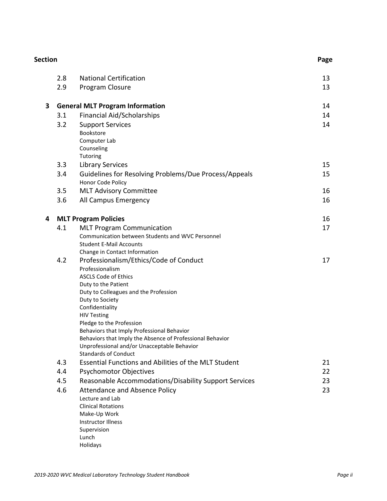| <b>Section</b> |                             |                                                                                                         | Page |
|----------------|-----------------------------|---------------------------------------------------------------------------------------------------------|------|
|                | 2.8                         | <b>National Certification</b>                                                                           | 13   |
|                | 2.9                         | Program Closure                                                                                         | 13   |
| 3              |                             | <b>General MLT Program Information</b>                                                                  | 14   |
|                | 3.1                         | Financial Aid/Scholarships                                                                              | 14   |
|                | 3.2                         | <b>Support Services</b>                                                                                 | 14   |
|                |                             | Bookstore                                                                                               |      |
|                |                             | Computer Lab                                                                                            |      |
|                |                             | Counseling                                                                                              |      |
|                | 3.3                         | Tutoring<br><b>Library Services</b>                                                                     | 15   |
|                | 3.4                         |                                                                                                         | 15   |
|                |                             | Guidelines for Resolving Problems/Due Process/Appeals<br>Honor Code Policy                              |      |
|                | 3.5                         | <b>MLT Advisory Committee</b>                                                                           | 16   |
|                | 3.6                         | All Campus Emergency                                                                                    | 16   |
|                |                             |                                                                                                         |      |
| 4              | <b>MLT Program Policies</b> |                                                                                                         |      |
|                | 4.1                         | <b>MLT Program Communication</b>                                                                        | 17   |
|                |                             | Communication between Students and WVC Personnel                                                        |      |
|                |                             | <b>Student E-Mail Accounts</b>                                                                          |      |
|                |                             | Change in Contact Information                                                                           |      |
|                | 4.2                         | Professionalism/Ethics/Code of Conduct                                                                  | 17   |
|                |                             | Professionalism<br><b>ASCLS Code of Ethics</b>                                                          |      |
|                |                             | Duty to the Patient                                                                                     |      |
|                |                             | Duty to Colleagues and the Profession                                                                   |      |
|                |                             | Duty to Society                                                                                         |      |
|                |                             | Confidentiality                                                                                         |      |
|                |                             | <b>HIV Testing</b>                                                                                      |      |
|                |                             | Pledge to the Profession                                                                                |      |
|                |                             | Behaviors that Imply Professional Behavior<br>Behaviors that Imply the Absence of Professional Behavior |      |
|                |                             | Unprofessional and/or Unacceptable Behavior                                                             |      |
|                |                             | <b>Standards of Conduct</b>                                                                             |      |
|                | 4.3                         | <b>Essential Functions and Abilities of the MLT Student</b>                                             | 21   |
|                | 4.4                         | <b>Psychomotor Objectives</b>                                                                           | 22   |
|                | 4.5                         | Reasonable Accommodations/Disability Support Services                                                   | 23   |
|                | 4.6                         | Attendance and Absence Policy                                                                           | 23   |
|                |                             | Lecture and Lab                                                                                         |      |
|                |                             | <b>Clinical Rotations</b>                                                                               |      |
|                |                             | Make-Up Work                                                                                            |      |
|                |                             | <b>Instructor Illness</b>                                                                               |      |
|                |                             | Supervision                                                                                             |      |
|                |                             | Lunch<br>Holidays                                                                                       |      |
|                |                             |                                                                                                         |      |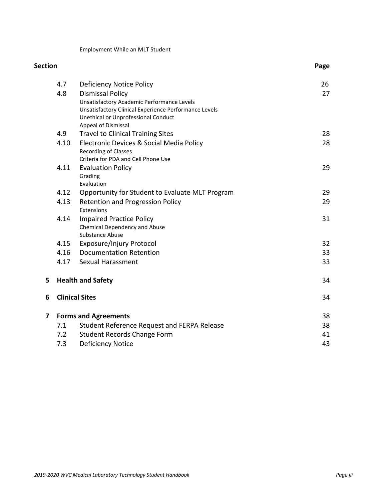Employment While an MLT Student

| Page                                                                                                                                                                                                                                                                                                                                                                                                                                                                                                                                                                                                                                                                                                                                                                                                                                                                                                                                          |
|-----------------------------------------------------------------------------------------------------------------------------------------------------------------------------------------------------------------------------------------------------------------------------------------------------------------------------------------------------------------------------------------------------------------------------------------------------------------------------------------------------------------------------------------------------------------------------------------------------------------------------------------------------------------------------------------------------------------------------------------------------------------------------------------------------------------------------------------------------------------------------------------------------------------------------------------------|
| 26                                                                                                                                                                                                                                                                                                                                                                                                                                                                                                                                                                                                                                                                                                                                                                                                                                                                                                                                            |
| 27                                                                                                                                                                                                                                                                                                                                                                                                                                                                                                                                                                                                                                                                                                                                                                                                                                                                                                                                            |
|                                                                                                                                                                                                                                                                                                                                                                                                                                                                                                                                                                                                                                                                                                                                                                                                                                                                                                                                               |
|                                                                                                                                                                                                                                                                                                                                                                                                                                                                                                                                                                                                                                                                                                                                                                                                                                                                                                                                               |
|                                                                                                                                                                                                                                                                                                                                                                                                                                                                                                                                                                                                                                                                                                                                                                                                                                                                                                                                               |
| 28                                                                                                                                                                                                                                                                                                                                                                                                                                                                                                                                                                                                                                                                                                                                                                                                                                                                                                                                            |
| 28                                                                                                                                                                                                                                                                                                                                                                                                                                                                                                                                                                                                                                                                                                                                                                                                                                                                                                                                            |
|                                                                                                                                                                                                                                                                                                                                                                                                                                                                                                                                                                                                                                                                                                                                                                                                                                                                                                                                               |
|                                                                                                                                                                                                                                                                                                                                                                                                                                                                                                                                                                                                                                                                                                                                                                                                                                                                                                                                               |
| 29                                                                                                                                                                                                                                                                                                                                                                                                                                                                                                                                                                                                                                                                                                                                                                                                                                                                                                                                            |
|                                                                                                                                                                                                                                                                                                                                                                                                                                                                                                                                                                                                                                                                                                                                                                                                                                                                                                                                               |
|                                                                                                                                                                                                                                                                                                                                                                                                                                                                                                                                                                                                                                                                                                                                                                                                                                                                                                                                               |
| 29                                                                                                                                                                                                                                                                                                                                                                                                                                                                                                                                                                                                                                                                                                                                                                                                                                                                                                                                            |
| 29                                                                                                                                                                                                                                                                                                                                                                                                                                                                                                                                                                                                                                                                                                                                                                                                                                                                                                                                            |
|                                                                                                                                                                                                                                                                                                                                                                                                                                                                                                                                                                                                                                                                                                                                                                                                                                                                                                                                               |
| 31                                                                                                                                                                                                                                                                                                                                                                                                                                                                                                                                                                                                                                                                                                                                                                                                                                                                                                                                            |
|                                                                                                                                                                                                                                                                                                                                                                                                                                                                                                                                                                                                                                                                                                                                                                                                                                                                                                                                               |
|                                                                                                                                                                                                                                                                                                                                                                                                                                                                                                                                                                                                                                                                                                                                                                                                                                                                                                                                               |
| 32                                                                                                                                                                                                                                                                                                                                                                                                                                                                                                                                                                                                                                                                                                                                                                                                                                                                                                                                            |
| 33                                                                                                                                                                                                                                                                                                                                                                                                                                                                                                                                                                                                                                                                                                                                                                                                                                                                                                                                            |
| 33                                                                                                                                                                                                                                                                                                                                                                                                                                                                                                                                                                                                                                                                                                                                                                                                                                                                                                                                            |
| 34                                                                                                                                                                                                                                                                                                                                                                                                                                                                                                                                                                                                                                                                                                                                                                                                                                                                                                                                            |
| 34                                                                                                                                                                                                                                                                                                                                                                                                                                                                                                                                                                                                                                                                                                                                                                                                                                                                                                                                            |
| 38                                                                                                                                                                                                                                                                                                                                                                                                                                                                                                                                                                                                                                                                                                                                                                                                                                                                                                                                            |
| 38                                                                                                                                                                                                                                                                                                                                                                                                                                                                                                                                                                                                                                                                                                                                                                                                                                                                                                                                            |
| 41                                                                                                                                                                                                                                                                                                                                                                                                                                                                                                                                                                                                                                                                                                                                                                                                                                                                                                                                            |
| 43                                                                                                                                                                                                                                                                                                                                                                                                                                                                                                                                                                                                                                                                                                                                                                                                                                                                                                                                            |
| <b>Deficiency Notice Policy</b><br><b>Dismissal Policy</b><br>Unsatisfactory Academic Performance Levels<br>Unsatisfactory Clinical Experience Performance Levels<br>Unethical or Unprofessional Conduct<br>Appeal of Dismissal<br><b>Travel to Clinical Training Sites</b><br>Electronic Devices & Social Media Policy<br><b>Recording of Classes</b><br>Criteria for PDA and Cell Phone Use<br><b>Evaluation Policy</b><br>Grading<br>Evaluation<br>Opportunity for Student to Evaluate MLT Program<br><b>Retention and Progression Policy</b><br>Extensions<br><b>Impaired Practice Policy</b><br><b>Chemical Dependency and Abuse</b><br>Substance Abuse<br>Exposure/Injury Protocol<br><b>Documentation Retention</b><br>Sexual Harassment<br><b>Health and Safety</b><br><b>Clinical Sites</b><br><b>Forms and Agreements</b><br>Student Reference Request and FERPA Release<br>Student Records Change Form<br><b>Deficiency Notice</b> |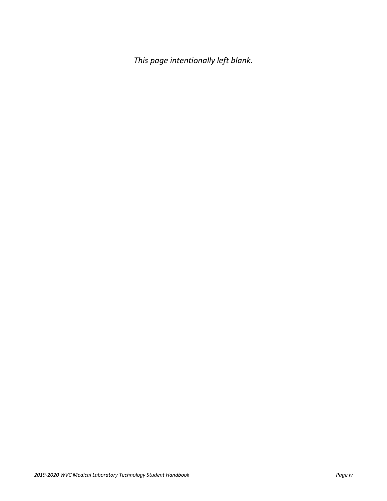*This page intentionally left blank.*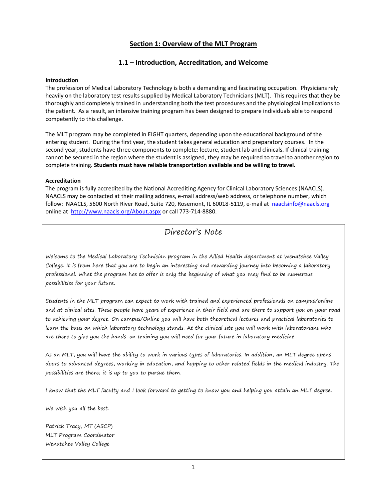# **Section 1: Overview of the MLT Program**

# **1.1 – Introduction, Accreditation, and Welcome**

#### **Introduction**

The profession of Medical Laboratory Technology is both a demanding and fascinating occupation. Physicians rely heavily on the laboratory test results supplied by Medical Laboratory Technicians (MLT). This requires that they be thoroughly and completely trained in understanding both the test procedures and the physiological implications to the patient. As a result, an intensive training program has been designed to prepare individuals able to respond competently to this challenge.

The MLT program may be completed in EIGHT quarters, depending upon the educational background of the entering student. During the first year, the student takes general education and preparatory courses. In the second year, students have three components to complete: lecture, student lab and clinicals. If clinical training cannot be secured in the region where the student is assigned, they may be required to travel to another region to complete training. **Students must have reliable transportation available and be willing to travel.**

#### **Accreditation**

The program is fully accredited by the National Accrediting Agency for Clinical Laboratory Sciences (NAACLS). NAACLS may be contacted at their mailing address, e-mail address/web address, or telephone number, which follow: NAACLS, 5600 North River Road, Suite 720, Rosemont, IL 60018-5119, e-mail at naaclsinfo@naacls.org online at <http://www.naacls.org/About.aspx> or call 773-714-8880.

# Director's Note

Welcome to the Medical Laboratory Technician program in the Allied Health department at Wenatchee Valley College. It is from here that you are to begin an interesting and rewarding journey into becoming a laboratory professional. What the program has to offer is only the beginning of what you may find to be numerous possibilities for your future.

Students in the MLT program can expect to work with trained and experienced professionals on campus/online and at clinical sites. These people have years of experience in their field and are there to support you on your road to achieving your degree. On campus/Online you will have both theoretical lectures and practical laboratories to learn the basis on which laboratory technology stands. At the clinical site you will work with laboratorians who are there to give you the hands-on training you will need for your future in laboratory medicine.

As an MLT, you will have the ability to work in various types of laboratories. In addition, an MLT degree opens doors to advanced degrees, working in education, and hopping to other related fields in the medical industry. The possibilities are there; it is up to you to pursue them.

I know that the MLT faculty and I look forward to getting to know you and helping you attain an MLT degree.

We wish you all the best.

Patrick Tracy, MT (ASCP) MLT Program Coordinator Wenatchee Valley College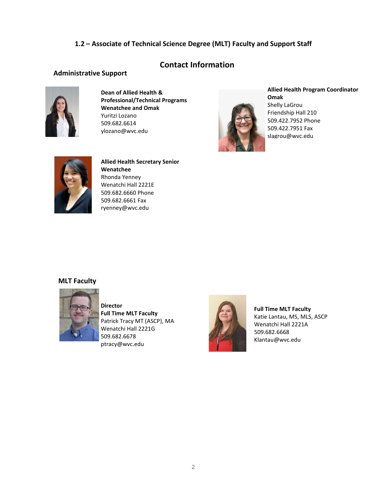# **1.2 – Associate of Technical Science Degree (MLT) Faculty and Support Staff**

# **Contact Information**

# **Administrative Support**



**Dean of Allied Health & Professional/Technical Programs Wenatchee and Omak** Yuritzi Lozano 509.682.6614 ylozano@wvc.edu



**Allied Health Program Coordinator Omak** Shelly LaGrou Friendship Hall 210

509.422.7952 Phone 509.422.7951 Fax slagrou@wvc.edu



**Allied Health Secretary Senior Wenatchee** Rhonda Yenney Wenatchi Hall 2221E 509.682.6660 Phone 509.682.6661 Fax ryenney@wvc.edu

# **MLT Faculty**



**Director Full Time MLT Faculty** Patrick Tracy MT (ASCP), MA Wenatchi Hall 2221G 509.682.6678 ptracy@wvc.edu



**Full Time MLT Faculty** Katie Lantau, MS, MLS, ASCP Wenatchi Hall 2221A 509.682.6668 Klantau@wvc.edu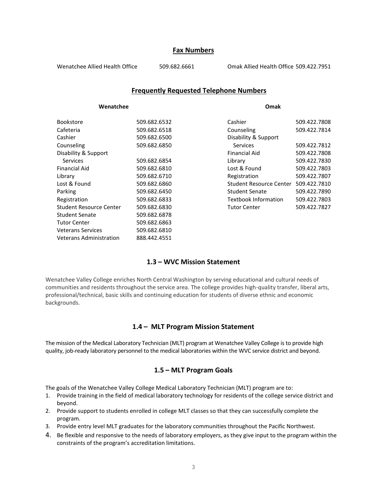# **Fax Numbers**

Wenatchee Allied Health Office 509.682.6661 Omak Allied Health Office 509.422.7951

#### **Frequently Requested Telephone Numbers**

| Wenatchee               |              | Omak                    |              |
|-------------------------|--------------|-------------------------|--------------|
| <b>Bookstore</b>        | 509.682.6532 | Cashier                 | 509.422.7808 |
| Cafeteria               | 509.682.6518 | Counseling              | 509.422.7814 |
| Cashier                 | 509.682.6500 | Disability & Support    |              |
| Counseling              | 509.682.6850 | <b>Services</b>         | 509.422.7812 |
| Disability & Support    |              | <b>Financial Aid</b>    | 509.422.7808 |
| <b>Services</b>         | 509.682.6854 | Library                 | 509.422.7830 |
| Financial Aid           | 509.682.6810 | Lost & Found            | 509.422.7803 |
| Library                 | 509.682.6710 | Registration            | 509.422.7807 |
| Lost & Found            | 509.682.6860 | Student Resource Center | 509.422.7810 |
| Parking                 | 509.682.6450 | <b>Student Senate</b>   | 509.422.7890 |
| Registration            | 509.682.6833 | Textbook Information    | 509.422.7803 |
| Student Resource Center | 509.682.6830 | Tutor Center            | 509.422.7827 |
| Student Senate          | 509.682.6878 |                         |              |
| Tutor Center            | 509.682.6863 |                         |              |
| Veterans Services       | 509.682.6810 |                         |              |
| Veterans Administration | 888.442.4551 |                         |              |

| Cashier                 | 509.422.7808 |
|-------------------------|--------------|
| Counseling              | 509.422.7814 |
| Disability & Support    |              |
| Services                | 509.422.7812 |
| Financial Aid           | 509.422.7808 |
| Library                 | 509 422 7830 |
| Lost & Found            | 509.422.7803 |
| Registration            | 509.422.7807 |
| Student Resource Center | 509.422.7810 |
| <b>Student Senate</b>   | 509.422.7890 |
| Textbook Information    | 509.422.7803 |
| Tutor Center            | 509.422.7827 |

#### **1.3 – WVC Mission Statement**

Wenatchee Valley College enriches North Central Washington by serving educational and cultural needs of communities and residents throughout the service area. The college provides high-quality transfer, liberal arts, professional/technical, basic skills and continuing education for students of diverse ethnic and economic backgrounds.

#### **1.4 – MLT Program Mission Statement**

The mission of the Medical Laboratory Technician (MLT) program at Wenatchee Valley College is to provide high quality, job-ready laboratory personnel to the medical laboratories within the WVC service district and beyond.

# **1.5 – MLT Program Goals**

The goals of the Wenatchee Valley College Medical Laboratory Technician (MLT) program are to:

- 1. Provide training in the field of medical laboratory technology for residents of the college service district and beyond.
- 2. Provide support to students enrolled in college MLT classes so that they can successfully complete the program.
- 3. Provide entry level MLT graduates for the laboratory communities throughout the Pacific Northwest.
- 4. Be flexible and responsive to the needs of laboratory employers, as they give input to the program within the constraints of the program's accreditation limitations.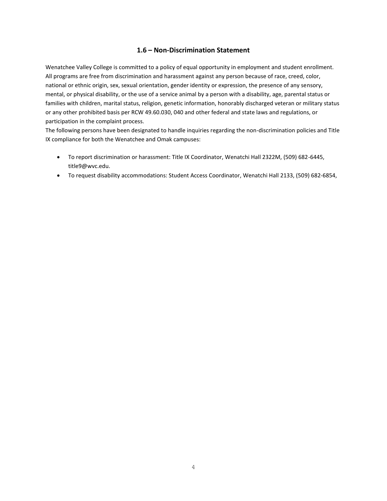# **1.6 – Non-Discrimination Statement**

Wenatchee Valley College is committed to a policy of equal opportunity in employment and student enrollment. All programs are free from discrimination and harassment against any person because of race, creed, color, national or ethnic origin, sex, sexual orientation, gender identity or expression, the presence of any sensory, mental, or physical disability, or the use of a service animal by a person with a disability, age, parental status or families with children, marital status, religion, genetic information, honorably discharged veteran or military status or any other prohibited basis per RCW 49.60.030, 040 and other federal and state laws and regulations, or participation in the complaint process.

The following persons have been designated to handle inquiries regarding the non-discrimination policies and Title IX compliance for both the Wenatchee and Omak campuses:

- To report discrimination or harassment: Title IX Coordinator, Wenatchi Hall 2322M, (509) 682-6445, title9@wvc.edu.
- To request disability accommodations: Student Access Coordinator, Wenatchi Hall 2133, (509) 682-6854,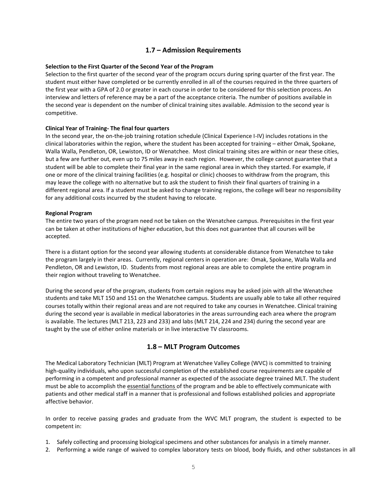# **1.7 – Admission Requirements**

#### **Selection to the First Quarter of the Second Year of the Program**

Selection to the first quarter of the second year of the program occurs during spring quarter of the first year. The student must either have completed or be currently enrolled in all of the courses required in the three quarters of the first year with a GPA of 2.0 or greater in each course in order to be considered for this selection process. An interview and letters of reference may be a part of the acceptance criteria. The number of positions available in the second year is dependent on the number of clinical training sites available. Admission to the second year is competitive.

#### **Clinical Year of Training- The final four quarters**

In the second year, the on-the-job training rotation schedule (Clinical Experience I-IV) includes rotations in the clinical laboratories within the region, where the student has been accepted for training – either Omak, Spokane, Walla Walla, Pendleton, OR, Lewiston, ID or Wenatchee. Most clinical training sites are within or near these cities, but a few are further out, even up to 75 miles away in each region. However, the college cannot guarantee that a student will be able to complete their final year in the same regional area in which they started. For example, if one or more of the clinical training facilities (e.g. hospital or clinic) chooses to withdraw from the program, this may leave the college with no alternative but to ask the student to finish their final quarters of training in a different regional area. If a student must be asked to change training regions, the college will bear no responsibility for any additional costs incurred by the student having to relocate.

#### **Regional Program**

The entire two years of the program need not be taken on the Wenatchee campus. Prerequisites in the first year can be taken at other institutions of higher education, but this does not guarantee that all courses will be accepted.

There is a distant option for the second year allowing students at considerable distance from Wenatchee to take the program largely in their areas. Currently, regional centers in operation are: Omak, Spokane, Walla Walla and Pendleton, OR and Lewiston, ID. Students from most regional areas are able to complete the entire program in their region without traveling to Wenatchee.

During the second year of the program, students from certain regions may be asked join with all the Wenatchee students and take MLT 150 and 151 on the Wenatchee campus. Students are usually able to take all other required courses totally within their regional areas and are not required to take any courses in Wenatchee. Clinical training during the second year is available in medical laboratories in the areas surrounding each area where the program is available. The lectures (MLT 213, 223 and 233) and labs (MLT 214, 224 and 234) during the second year are taught by the use of either online materials or in live interactive TV classrooms.

# **1.8 – MLT Program Outcomes**

The Medical Laboratory Technician (MLT) Program at Wenatchee Valley College (WVC) is committed to training high-quality individuals, who upon successful completion of the established course requirements are capable of performing in a competent and professional manner as expected of the associate degree trained MLT. The student must be able to accomplish the essential functions of the program and be able to effectively communicate with patients and other medical staff in a manner that is professional and follows established policies and appropriate affective behavior.

In order to receive passing grades and graduate from the WVC MLT program, the student is expected to be competent in:

- 1. Safely collecting and processing biological specimens and other substances for analysis in a timely manner.
- 2. Performing a wide range of waived to complex laboratory tests on blood, body fluids, and other substances in all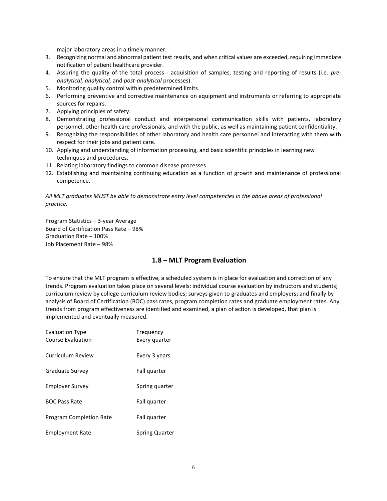major laboratory areas in a timely manner.

- 3. Recognizing normal and abnormal patient test results, and when critical values are exceeded, requiring immediate notification of patient healthcare provider.
- 4. Assuring the quality of the total process acquisition of samples, testing and reporting of results (i.e. *preanalytical, analytical,* and *post-analytical* processes).
- 5. Monitoring quality control within predetermined limits.
- 6. Performing preventive and corrective maintenance on equipment and instruments or referring to appropriate sources for repairs.
- 7. Applying principles of safety.
- 8. Demonstrating professional conduct and interpersonal communication skills with patients, laboratory personnel, other health care professionals, and with the public, as well as maintaining patient confidentiality.
- 9. Recognizing the responsibilities of other laboratory and health care personnel and interacting with them with respect for their jobs and patient care.
- 10. Applying and understanding of information processing, and basic scientific principles in learning new techniques and procedures.
- 11. Relating laboratory findings to common disease processes.
- 12. Establishing and maintaining continuing education as a function of growth and maintenance of professional competence.

*All MLT graduates MUST be able to demonstrate entry level competencies in the above areas of professional practice.*

Program Statistics – 3-year Average Board of Certification Pass Rate – 98% Graduation Rate – 100% Job Placement Rate – 98%

# **1.8 – MLT Program Evaluation**

To ensure that the MLT program is effective, a scheduled system is in place for evaluation and correction of any trends. Program evaluation takes place on several levels: individual course evaluation by instructors and students; curriculum review by college curriculum review bodies; surveys given to graduates and employers; and finally by analysis of Board of Certification (BOC) pass rates, program completion rates and graduate employment rates. Any trends from program effectiveness are identified and examined, a plan of action is developed, that plan is implemented and eventually measured.

| <b>Evaluation Type</b><br><b>Course Evaluation</b> | Frequency<br>Every quarter |
|----------------------------------------------------|----------------------------|
| Curriculum Review                                  | Every 3 years              |
| Graduate Survey                                    | Fall quarter               |
| Employer Survey                                    | Spring quarter             |
| <b>BOC Pass Rate</b>                               | Fall quarter               |
| <b>Program Completion Rate</b>                     | Fall quarter               |
| <b>Employment Rate</b>                             | <b>Spring Quarter</b>      |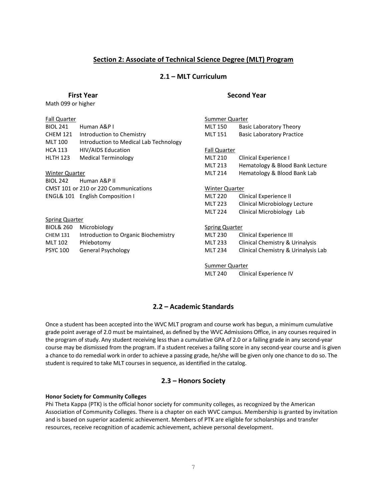# **Section 2: Associate of Technical Science Degree (MLT) Program**

### **2.1 – MLT Curriculum**

Math 099 or higher

#### Fall Quarter

| <b>BIOL 241</b> | Human A&P I                            | MLT 150             | Basic Laboratory Theory          |
|-----------------|----------------------------------------|---------------------|----------------------------------|
| <b>CHEM 121</b> | Introduction to Chemistry              | MLT 151             | <b>Basic Laboratory Practice</b> |
| MLT 100         | Introduction to Medical Lab Technology |                     |                                  |
| <b>HCA 113</b>  | <b>HIV/AIDS Education</b>              | <b>Fall Quarter</b> |                                  |
| <b>HLTH 123</b> | Medical Terminology                    | MLT 210             | Clinical Experience I            |

#### Winter Quarter

BIOL 242 Human A&P II CMST 101 or 210 or 220 Communications ENGL& 101 English Composition I

#### Spring Quarter

|          | BIOL& 260 Microbiology               | <b>Spring Quarter</b> |                                     |
|----------|--------------------------------------|-----------------------|-------------------------------------|
| CHEM 131 | Introduction to Organic Biochemistry | MLT 230               | Clinical Experience III             |
| MLT 102  | Phlebotomy                           | MLT 233               | Clinical Chemistry & Urinalysis     |
| PSYC 100 | General Psychology                   | MLT 234               | Clinical Chemistry & Urinalysis Lab |

#### **First Year Second Year**

| Summer Quarter |                                     |
|----------------|-------------------------------------|
| <b>MLT 150</b> | <b>Basic Laboratory Theory</b>      |
| <b>MLT 151</b> | <b>Basic Laboratory Practice</b>    |
|                |                                     |
| Fall Quarter   |                                     |
| MIT 210        | Clinical Experience I               |
| <b>MLT 213</b> | Hematology & Blood Bank Lecture     |
| <b>MLT 214</b> | Hematology & Blood Bank Lab         |
|                |                                     |
| Winter Quarter |                                     |
| <b>MLT 220</b> | Clinical Experience II              |
| <b>MLT 223</b> | Clinical Microbiology Lecture       |
| <b>MLT 224</b> | Clinical Microbiology Lab           |
|                |                                     |
| Spring Quarter |                                     |
| <b>MLT 230</b> | Clinical Experience III             |
| <b>MLT 233</b> | Clinical Chemistry & Urinalysis     |
| <b>MLT 234</b> | Clinical Chemistry & Urinalysis Lab |
|                |                                     |
|                |                                     |

#### Summer Quarter MLT 240 Clinical Experience IV

# **2.2 – Academic Standards**

Once a student has been accepted into the WVC MLT program and course work has begun, a minimum cumulative grade point average of 2.0 must be maintained, as defined by the WVC Admissions Office, in any courses required in the program of study. Any student receiving less than a cumulative GPA of 2.0 or a failing grade in any second-year course may be dismissed from the program. If a student receives a failing score in any second-year course and is given a chance to do remedial work in order to achieve a passing grade, he/she will be given only one chance to do so. The student is required to take MLT courses in sequence, as identified in the catalog.

#### **2.3 – Honors Society**

#### **Honor Society for Community Colleges**

Phi Theta Kappa (PTK) is the official honor society for community colleges, as recognized by the American Association of Community Colleges. There is a chapter on each WVC campus. Membership is granted by invitation and is based on superior academic achievement. Members of PTK are eligible for scholarships and transfer resources, receive recognition of academic achievement, achieve personal development.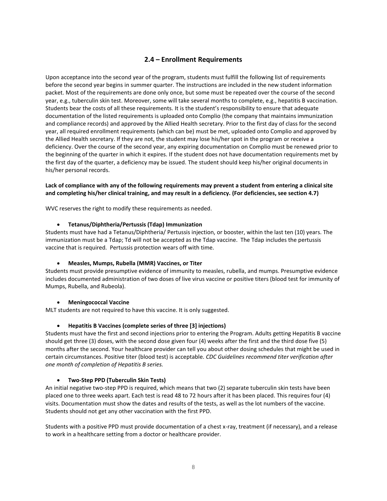# **2.4 – Enrollment Requirements**

Upon acceptance into the second year of the program, students must fulfill the following list of requirements before the second year begins in summer quarter. The instructions are included in the new student information packet. Most of the requirements are done only once, but some must be repeated over the course of the second year, e.g., tuberculin skin test. Moreover, some will take several months to complete, e.g., hepatitis B vaccination. Students bear the costs of all these requirements. It is the student's responsibility to ensure that adequate documentation of the listed requirements is uploaded onto Complio (the company that maintains immunization and compliance records) and approved by the Allied Health secretary. Prior to the first day of class for the second year, all required enrollment requirements (which can be) must be met, uploaded onto Complio and approved by the Allied Health secretary. If they are not, the student may lose his/her spot in the program or receive a deficiency. Over the course of the second year, any expiring documentation on Complio must be renewed prior to the beginning of the quarter in which it expires. If the student does not have documentation requirements met by the first day of the quarter, a deficiency may be issued. The student should keep his/her original documents in his/her personal records.

#### **Lack of compliance with any of the following requirements may prevent a student from entering a clinical site and completing his/her clinical training, and may result in a deficiency. (For deficiencies, see section 4.7)**

WVC reserves the right to modify these requirements as needed.

#### • **Tetanus/Diphtheria/Pertussis (Tdap) Immunization**

Students must have had a Tetanus/Diphtheria/ Pertussis injection, or booster, within the last ten (10) years. The immunization must be a Tdap; Td will not be accepted as the Tdap vaccine. The Tdap includes the pertussis vaccine that is required. Pertussis protection wears off with time.

#### • **Measles, Mumps, Rubella (MMR) Vaccines, or Titer**

Students must provide presumptive evidence of immunity to measles, rubella, and mumps. Presumptive evidence includes documented administration of two doses of live virus vaccine or positive titers (blood test for immunity of Mumps, Rubella, and Rubeola).

#### • **Meningococcal Vaccine**

MLT students are not required to have this vaccine. It is only suggested.

#### • **Hepatitis B Vaccines (complete series of three [3] injections)**

Students must have the first and second injections prior to entering the Program. Adults getting Hepatitis B vaccine should get three (3) doses, with the second dose given four (4) weeks after the first and the third dose five (5) months after the second. Your healthcare provider can tell you about other dosing schedules that might be used in certain circumstances. Positive titer (blood test) is acceptable. *CDC Guidelines recommend titer verification after one month of completion of Hepatitis B series.*

#### • **Two-Step PPD (Tuberculin Skin Tests)**

An initial negative two-step PPD is required, which means that two (2) separate tuberculin skin tests have been placed one to three weeks apart. Each test is read 48 to 72 hours after it has been placed. This requires four (4) visits. Documentation must show the dates and results of the tests, as well as the lot numbers of the vaccine. Students should not get any other vaccination with the first PPD.

Students with a positive PPD must provide documentation of a chest x-ray, treatment (if necessary), and a release to work in a healthcare setting from a doctor or healthcare provider.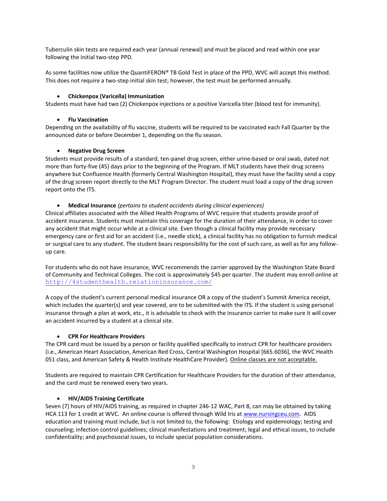Tuberculin skin tests are required each year (annual renewal) and must be placed and read within one year following the initial two-step PPD.

As some facilities now utilize the QuantiFERON® TB Gold Test in place of the PPD, WVC will accept this method. This does not require a two-step initial skin test; however, the test must be performed annually.

### • **Chickenpox (Varicella) Immunization**

Students must have had two (2) Chickenpox injections or a positive Varicella titer (blood test for immunity).

#### • **Flu Vaccination**

Depending on the availability of flu vaccine, students will be required to be vaccinated each Fall Quarter by the announced date or before December 1, depending on the flu season.

### • **Negative Drug Screen**

Students must provide results of a standard, ten-panel drug screen, either urine-based or oral swab, dated not more than forty-five (45) days prior to the beginning of the Program. If MLT students have their drug screens anywhere but Confluence Health (formerly Central Washington Hospital), they must have the facility send a copy of the drug screen report directly to the MLT Program Director. The student must load a copy of the drug screen report onto the ITS.

### • **Medical Insurance** *(pertains to student accidents during clinical experiences)*

Clinical affiliates associated with the Allied Health Programs of WVC require that students provide proof of accident insurance. Students must maintain this coverage for the duration of their attendance, in order to cover any accident that might occur while at a clinical site. Even though a clinical facility may provide necessary emergency care or first aid for an accident (i.e., needle stick), a clinical facility has no obligation to furnish medical or surgical care to any student. The student bears responsibility for the cost of such care, as well as for any followup care.

For students who do not have insurance, WVC recommends the carrier approved by the Washington State Board of Community and Technical Colleges. The cost is approximately \$45 per quarter. The student may enroll online at <http://4studenthealth.relationinsurance.com/>

A copy of the student's current personal medical insurance OR a copy of the student's Summit America receipt, which includes the quarter(s) and year covered, are to be submitted with the ITS. If the student is using personal insurance through a plan at work, etc., it is advisable to check with the insurance carrier to make sure it will cover an accident incurred by a student at a clinical site.

# • **CPR For Healthcare Providers**

The CPR card must be issued by a person or facility qualified specifically to instruct CPR for healthcare providers (i.e., American Heart Association, American Red Cross, Central Washington Hospital [665.6036], the WVC Health 051 class, and American Safety & Health Institute HealthCare Provider). Online classes are not acceptable.

Students are required to maintain CPR Certification for Healthcare Providers for the duration of their attendance, and the card must be renewed every two years.

# • **HIV/AIDS Training Certificate**

Seven (7) hours of HIV/AIDS training, as required in chapter 246-12 WAC, Part 8, can may be obtained by taking HCA 113 for 1 credit at WVC. An online course is offered through Wild Iris a[t www.nursingceu.com.](http://www.nursingceu.com/) AIDS education and training must include, but is not limited to, the following: Etiology and epidemiology; testing and counseling; infection control guidelines; clinical manifestations and treatment; legal and ethical issues, to include confidentiality; and psychosocial issues, to include special population considerations.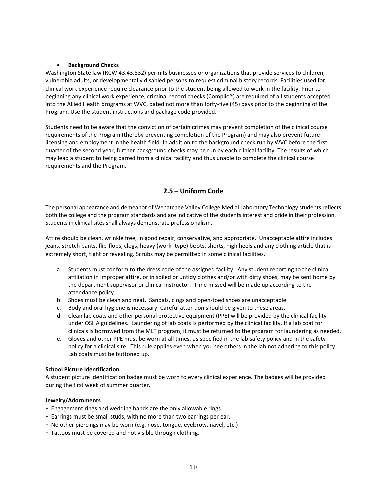#### • **Background Checks**

Washington State law (RCW 43.43.832) permits businesses or organizations that provide services to children, vulnerable adults, or developmentally disabled persons to request criminal history records. Facilities used for clinical work experience require clearance prior to the student being allowed to work in the facility. Prior to beginning any clinical work experience, criminal record checks (Complio®) are required of all students accepted into the Allied Health programs at WVC, dated not more than forty-five (45) days prior to the beginning of the Program. Use the student instructions and package code provided.

Students need to be aware that the conviction of certain crimes may prevent completion of the clinical course requirements of the Program (thereby preventing completion of the Program) and may also prevent future licensing and employment in the health field. In addition to the background check run by WVC before the first quarter of the second year, further background checks may be run by each clinical facility. The results of which may lead a student to being barred from a clinical facility and thus unable to complete the clinical course requirements and the Program.

# **2.5 – Uniform Code**

The personal appearance and demeanor of Wenatchee Valley College Medial Laboratory Technology students reflects both the college and the program standards and are indicative of the students interest and pride in their profession. Students in clinical sites shall always demonstrate professionalism.

Attire should be clean, wrinkle free, in good repair, conservative, and appropriate. Unacceptable attire includes jeans, stretch pants, flip-flops, clogs, heavy (work- type) boots, shorts, high heels and any clothing article that is extremely short, tight or revealing. Scrubs may be permitted in some clinical facilities.

- a. Students must conform to the dress code of the assigned facility. Any student reporting to the clinical affiliation in improper attire, or in soiled or untidy clothes and/or with dirty shoes, may be sent home by the department supervisor or clinical instructor. Time missed will be made up according to the attendance policy.
- b. Shoes must be clean and neat. Sandals, clogs and open-toed shoes are unacceptable.
- c. Body and oral hygiene is necessary. Careful attention should be given to these areas.
- d. Clean lab coats and other personal protective equipment (PPE) will be provided by the clinical facility under OSHA guidelines. Laundering of lab coats is performed by the clinical facility. If a lab coat for clinicals is borrowed from the MLT program, it must be returned to the program for laundering as needed.
- e. Gloves and other PPE must be worn at all times, as specified in the lab safety policy and in the safety policy for a clinical site. This rule applies even when you see others in the lab not adhering to this policy. Lab coats must be buttoned up.

#### **School Picture Identification**

A student picture identification badge must be worn to every clinical experience. The badges will be provided during the first week of summer quarter.

#### **Jewelry/Adornments**

- Engagement rings and wedding bands are the only allowable rings.
- Earrings must be small studs, with no more than two earrings per ear.
- No other piercings may be worn (e.g. nose, tongue, eyebrow, navel, etc.)
- Tattoos must be covered and not visible through clothing.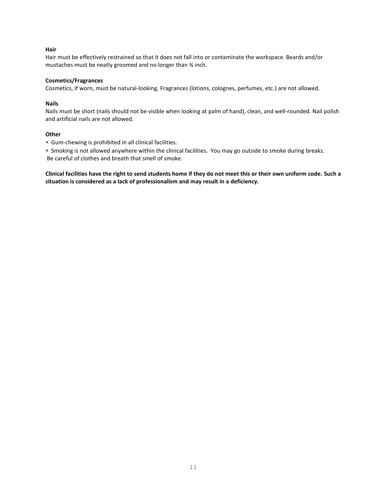#### **Hair**

Hair must be effectively restrained so that it does not fall into or contaminate the workspace. Beards and/or mustaches must be neatly groomed and no longer than ¾ inch.

#### **Cosmetics/Fragrances**

Cosmetics, if worn, must be natural-looking. Fragrances (lotions, colognes, perfumes, etc.) are not allowed.

#### **Nails**

Nails must be short (nails should not be visible when looking at palm of hand), clean, and well-rounded. Nail polish and artificial nails are not allowed.

#### **Other**

Gum-chewing is prohibited in all clinical facilities.

 Smoking is not allowed anywhere within the clinical facilities. You may go outside to smoke during breaks. Be careful of clothes and breath that smell of smoke.

**Clinical facilities have the right to send students home if they do not meet this or their own uniform code. Such a situation is considered as a lack of professionalism and may result in a deficiency.**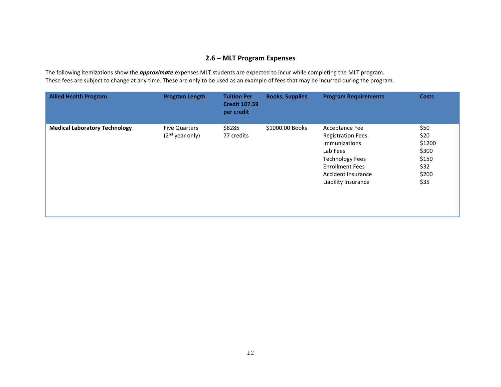# **2.6 – MLT Program Expenses**

The following itemizations show the *approximate* expenses MLT students are expected to incur while completing the MLT program. These fees are subject to change at any time. These are only to be used as an example of fees that may be incurred during the program.

| <b>Allied Health Program</b>         | <b>Program Length</b>                     | <b>Tuition Per</b><br><b>Credit 107.59</b><br>per credit | <b>Books, Supplies</b> | <b>Program Requirements</b>                                                                                                                                                     | <b>Costs</b>                                                      |
|--------------------------------------|-------------------------------------------|----------------------------------------------------------|------------------------|---------------------------------------------------------------------------------------------------------------------------------------------------------------------------------|-------------------------------------------------------------------|
| <b>Medical Laboratory Technology</b> | <b>Five Quarters</b><br>$(2nd$ year only) | \$8285<br>77 credits                                     | \$1000.00 Books        | Acceptance Fee<br><b>Registration Fees</b><br><b>Immunizations</b><br>Lab Fees<br><b>Technology Fees</b><br><b>Enrollment Fees</b><br>Accident Insurance<br>Liability Insurance | \$50<br>\$20<br>\$1200<br>\$300<br>\$150<br>\$32<br>\$200<br>\$35 |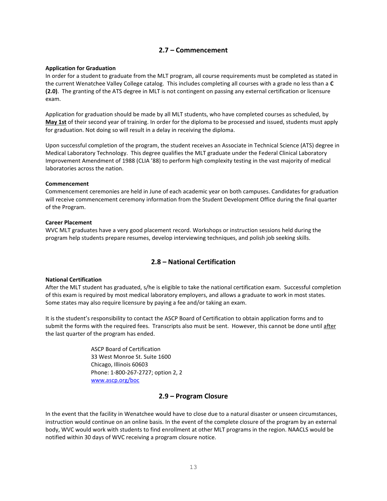# **2.7 – Commencement**

#### **Application for Graduation**

In order for a student to graduate from the MLT program, all course requirements must be completed as stated in the current Wenatchee Valley College catalog. This includes completing all courses with a grade no less than a **C (2.0)**. The granting of the ATS degree in MLT is not contingent on passing any external certification or licensure exam.

Application for graduation should be made by all MLT students, who have completed courses as scheduled, by **May 1st** of their second year of training. In order for the diploma to be processed and issued, students must apply for graduation. Not doing so will result in a delay in receiving the diploma.

Upon successful completion of the program, the student receives an Associate in Technical Science (ATS) degree in Medical Laboratory Technology. This degree qualifies the MLT graduate under the Federal Clinical Laboratory Improvement Amendment of 1988 (CLIA '88) to perform high complexity testing in the vast majority of medical laboratories across the nation.

#### **Commencement**

Commencement ceremonies are held in June of each academic year on both campuses. Candidates for graduation will receive commencement ceremony information from the Student Development Office during the final quarter of the Program.

#### **Career Placement**

WVC MLT graduates have a very good placement record. Workshops or instruction sessions held during the program help students prepare resumes, develop interviewing techniques, and polish job seeking skills.

# **2.8 – National Certification**

#### **National Certification**

After the MLT student has graduated, s/he is eligible to take the national certification exam. Successful completion of this exam is required by most medical laboratory employers, and allows a graduate to work in most states. Some states may also require licensure by paying a fee and/or taking an exam.

It is the student's responsibility to contact the ASCP Board of Certification to obtain application forms and to submit the forms with the required fees. Transcripts also must be sent. However, this cannot be done until after the last quarter of the program has ended.

> ASCP Board of Certification 33 West Monroe St. Suite 1600 Chicago, Illinois 60603 Phone: 1-800-267-2727; option 2, 2 [www.ascp.org/boc](http://www.ascp.org/boc)

# **2.9 – Program Closure**

In the event that the facility in Wenatchee would have to close due to a natural disaster or unseen circumstances, instruction would continue on an online basis. In the event of the complete closure of the program by an external body, WVC would work with students to find enrollment at other MLT programs in the region. NAACLS would be notified within 30 days of WVC receiving a program closure notice.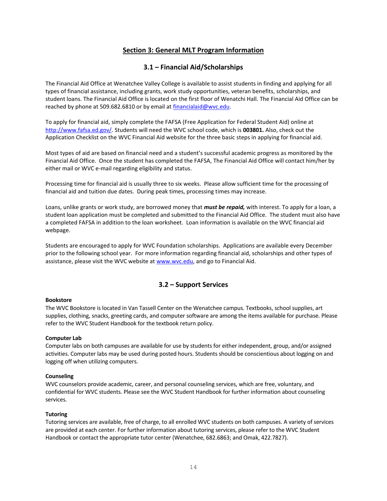# **Section 3: General MLT Program Information**

# **3.1 – Financial Aid/Scholarships**

The Financial Aid Office at Wenatchee Valley College is available to assist students in finding and applying for all types of financial assistance, including grants, work study opportunities, veteran benefits, scholarships, and student loans. The Financial Aid Office is located on the first floor of Wenatchi Hall. The Financial Aid Office can be reached by phone at 509.682.6810 or by email at [financialaid@wvc.edu.](mailto:financialaid@wvc.edu)

To apply for financial aid, simply complete the FAFSA (Free Application for Federal Student Aid) online at [http://www.fafsa.ed.gov/.](http://www.fafsa.ed.gov/) Students will need the WVC school code, which is **003801.** Also, check out the Application Checklist on the WVC Financial Aid website for the three basic steps in applying for financial aid.

Most types of aid are based on financial need and a student's successful academic progress as monitored by the Financial Aid Office. Once the student has completed the FAFSA, The Financial Aid Office will contact him/her by either mail or WVC e-mail regarding eligibility and status.

Processing time for financial aid is usually three to six weeks. Please allow sufficient time for the processing of financial aid and tuition due dates. During peak times, processing times may increase.

Loans, unlike grants or work study, are borrowed money that *must be repaid,* with interest. To apply for a loan, a student loan application must be completed and submitted to the Financial Aid Office. The student must also have a completed FAFSA in addition to the loan worksheet. Loan information is available on the WVC financial aid webpage.

Students are encouraged to apply for WVC Foundation scholarships. Applications are available every December prior to the following school year. For more information regarding financial aid, scholarships and other types of assistance, please visit the WVC website at [www.wvc.edu,](http://www.wvc.edu/) and go to Financial Aid.

# **3.2 – Support Services**

#### **Bookstore**

The WVC Bookstore is located in Van Tassell Center on the Wenatchee campus. Textbooks, school supplies, art supplies, clothing, snacks, greeting cards, and computer software are among the items available for purchase. Please refer to the WVC Student Handbook for the textbook return policy.

#### **Computer Lab**

Computer labs on both campuses are available for use by students for either independent, group, and/or assigned activities. Computer labs may be used during posted hours. Students should be conscientious about logging on and logging off when utilizing computers.

#### **Counseling**

WVC counselors provide academic, career, and personal counseling services, which are free, voluntary, and confidential for WVC students. Please see the WVC Student Handbook for further information about counseling services.

#### **Tutoring**

Tutoring services are available, free of charge, to all enrolled WVC students on both campuses. A variety of services are provided at each center. For further information about tutoring services, please refer to the WVC Student Handbook or contact the appropriate tutor center (Wenatchee, 682.6863; and Omak, 422.7827).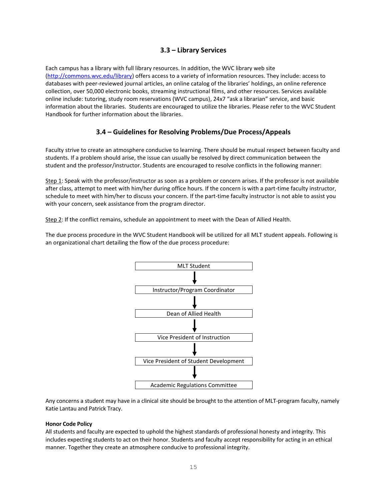# **3.3 – Library Services**

Each campus has a library with full library resources. In addition, the WVC library web site [\(http://commons.wvc.edu/library\)](http://commons.wvc.edu/library) offers access to a variety of information resources. They include: access to databases with peer-reviewed journal articles, an online catalog of the libraries' holdings, an online reference collection, over 50,000 electronic books, streaming instructional films, and other resources. Services available online include: tutoring, study room reservations (WVC campus), 24x7 "ask a librarian" service, and basic information about the libraries. Students are encouraged to utilize the libraries. Please refer to the WVC Student Handbook for further information about the libraries.

# **3.4 – Guidelines for Resolving Problems/Due Process/Appeals**

Faculty strive to create an atmosphere conducive to learning. There should be mutual respect between faculty and students. If a problem should arise, the issue can usually be resolved by direct communication between the student and the professor/instructor. Students are encouraged to resolve conflicts in the following manner:

Step 1: Speak with the professor/instructor as soon as a problem or concern arises. If the professor is not available after class, attempt to meet with him/her during office hours. If the concern is with a part-time faculty instructor, schedule to meet with him/her to discuss your concern. If the part-time faculty instructor is not able to assist you with your concern, seek assistance from the program director.

Step 2: If the conflict remains, schedule an appointment to meet with the Dean of Allied Health.

The due process procedure in the WVC Student Handbook will be utilized for all MLT student appeals. Following is an organizational chart detailing the flow of the due process procedure:



Any concerns a student may have in a clinical site should be brought to the attention of MLT-program faculty, namely Katie Lantau and Patrick Tracy.

#### **Honor Code Policy**

All students and faculty are expected to uphold the highest standards of professional honesty and integrity. This includes expecting students to act on their honor. Students and faculty accept responsibility for acting in an ethical manner. Together they create an atmosphere conducive to professional integrity.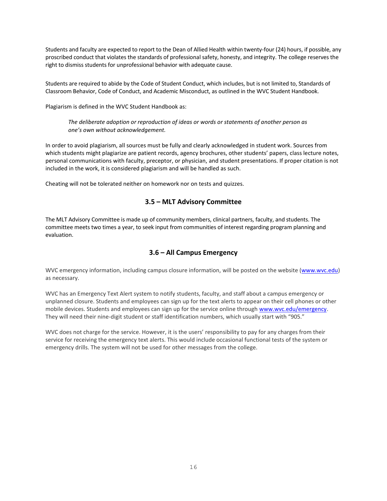Students and faculty are expected to report to the Dean of Allied Health within twenty-four (24) hours, if possible, any proscribed conduct that violates the standards of professional safety, honesty, and integrity. The college reserves the right to dismiss students for unprofessional behavior with adequate cause.

Students are required to abide by the Code of Student Conduct, which includes, but is not limited to, Standards of Classroom Behavior, Code of Conduct, and Academic Misconduct, as outlined in the WVC Student Handbook.

Plagiarism is defined in the WVC Student Handbook as:

*The deliberate adoption or reproduction of ideas or words or statements of another person as one's own without acknowledgement.* 

In order to avoid plagiarism, all sources must be fully and clearly acknowledged in student work. Sources from which students might plagiarize are patient records, agency brochures, other students' papers, class lecture notes, personal communications with faculty, preceptor, or physician, and student presentations. If proper citation is not included in the work, it is considered plagiarism and will be handled as such.

Cheating will not be tolerated neither on homework nor on tests and quizzes.

# **3.5 – MLT Advisory Committee**

The MLT Advisory Committee is made up of community members, clinical partners, faculty, and students. The committee meets two times a year, to seek input from communities of interest regarding program planning and evaluation.

# **3.6 – All Campus Emergency**

WVC emergency information, including campus closure information, will be posted on the website [\(www.wvc.edu\)](http://www.wvc.edu/) as necessary.

WVC has an Emergency Text Alert system to notify students, faculty, and staff about a campus emergency or unplanned closure. Students and employees can sign up for the text alerts to appear on their cell phones or other mobile devices. Students and employees can sign up for the service online through [www.wvc.edu/emergency.](http://www.wvc.edu/emergency) They will need their nine-digit student or staff identification numbers, which usually start with "905."

WVC does not charge for the service. However, it is the users' responsibility to pay for any charges from their service for receiving the emergency text alerts. This would include occasional functional tests of the system or emergency drills. The system will not be used for other messages from the college.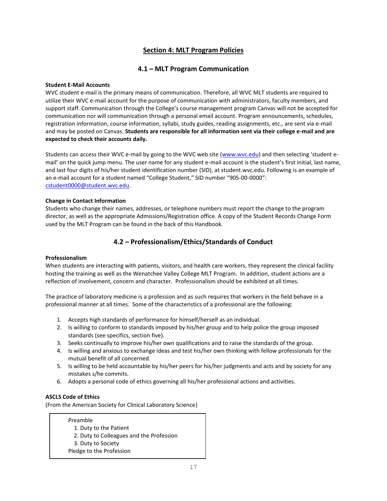# **Section 4: MLT Program Policies**

# **4.1 – MLT Program Communication**

#### **Student E-Mail Accounts**

WVC student e-mail is the primary means of communication. Therefore, all WVC MLT students are required to utilize their WVC e-mail account for the purpose of communication with administrators, faculty members, and support staff. Communication through the College's course management program Canvas will not be accepted for communication nor will communication through a personal email account. Program announcements, schedules, registration information, course information, syllabi, study guides, reading assignments, etc., are sent via e-mail and may be posted on Canvas. **Students are responsible for all information sent via their college e-mail and are expected to check their accounts daily.**

Students can access their WVC e-mail by going to the WVC web site [\(www.wvc.edu\)](http://www.wvc.edu/) and then selecting 'student email' on the quick jump menu. The user name for any student e-mail account is the student's first initial, last name, and last four digits of his/her student identification number (SID), at student.wvc.edu. Following is an example of an e-mail account for a student named "College Student," SID number "905-00-0000": [cstudent0000@student.wvc.edu.](mailto:cstudent0000@student.wvc.edu)

#### **Change in Contact Information**

Students who change their names, addresses, or telephone numbers must report the change to the program director, as well as the appropriate Admissions/Registration office. A copy of the Student Records Change Form used by the MLT Program can be found in the back of this Handbook.

# **4.2 – Professionalism/Ethics/Standards of Conduct**

#### **Professionalism**

When students are interacting with patients, visitors, and health care workers, they represent the clinical facility hosting the training as well as the Wenatchee Valley College MLT Program. In addition, student actions are a reflection of involvement, concern and character. Professionalism should be exhibited at all times.

The practice of laboratory medicine is a profession and as such requires that workers in the field behave in a professional manner at all times. Some of the characteristics of a professional are the following:

- 1. Accepts high standards of performance for himself/herself as an individual.
- 2. Is willing to conform to standards imposed by his/her group and to help police the group imposed standards (see specifics, section five).
- 3. Seeks continually to improve his/her own qualifications and to raise the standards of the group.
- 4. Is willing and anxious to exchange ideas and test his/her own thinking with fellow professionals for the mutual benefit of all concerned.
- 5. Is willing to be held accountable by his/her peers for his/her judgments and acts and by society for any mistakes s/he commits.
- 6. Adopts a personal code of ethics governing all his/her professional actions and activities.

#### **ASCLS Code of Ethics**

(From the American Society for Clinical Laboratory Science)

Preamble 1. Duty to the Patient 2. Duty to Colleagues and the Profession 3. Duty to Society Pledge to the Profession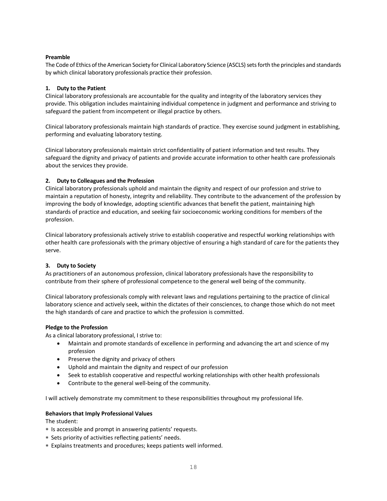#### **Preamble**

The Code of Ethics of the American Society for Clinical Laboratory Science (ASCLS) sets forth the principles and standards by which clinical laboratory professionals practice their profession.

#### **1. Duty to the Patient**

Clinical laboratory professionals are accountable for the quality and integrity of the laboratory services they provide. This obligation includes maintaining individual competence in judgment and performance and striving to safeguard the patient from incompetent or illegal practice by others.

Clinical laboratory professionals maintain high standards of practice. They exercise sound judgment in establishing, performing and evaluating laboratory testing.

Clinical laboratory professionals maintain strict confidentiality of patient information and test results. They safeguard the dignity and privacy of patients and provide accurate information to other health care professionals about the services they provide.

#### **2. Duty to Colleagues and the Profession**

Clinical laboratory professionals uphold and maintain the dignity and respect of our profession and strive to maintain a reputation of honesty, integrity and reliability. They contribute to the advancement of the profession by improving the body of knowledge, adopting scientific advances that benefit the patient, maintaining high standards of practice and education, and seeking fair socioeconomic working conditions for members of the profession.

Clinical laboratory professionals actively strive to establish cooperative and respectful working relationships with other health care professionals with the primary objective of ensuring a high standard of care for the patients they serve.

#### **3. Duty to Society**

As practitioners of an autonomous profession, clinical laboratory professionals have the responsibility to contribute from their sphere of professional competence to the general well being of the community.

Clinical laboratory professionals comply with relevant laws and regulations pertaining to the practice of clinical laboratory science and actively seek, within the dictates of their consciences, to change those which do not meet the high standards of care and practice to which the profession is committed.

#### **Pledge to the Profession**

As a clinical laboratory professional, I strive to:

- Maintain and promote standards of excellence in performing and advancing the art and science of my profession
- Preserve the dignity and privacy of others
- Uphold and maintain the dignity and respect of our profession
- Seek to establish cooperative and respectful working relationships with other health professionals
- Contribute to the general well-being of the community.

I will actively demonstrate my commitment to these responsibilities throughout my professional life.

#### **Behaviors that Imply Professional Values**

The student:

- Is accessible and prompt in answering patients' requests.
- Sets priority of activities reflecting patients' needs.
- Explains treatments and procedures; keeps patients well informed.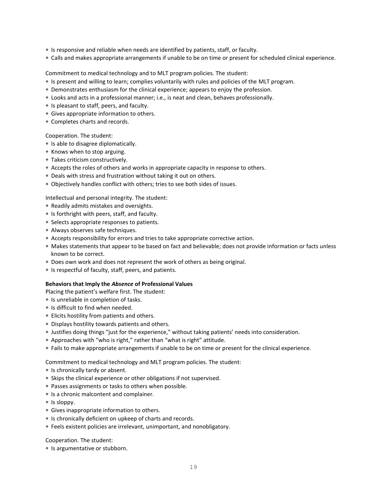- Is responsive and reliable when needs are identified by patients, staff, or faculty.
- Calls and makes appropriate arrangements if unable to be on time or present for scheduled clinical experience.

Commitment to medical technology and to MLT program policies. The student:

- Is present and willing to learn; complies voluntarily with rules and policies of the MLT program.
- Demonstrates enthusiasm for the clinical experience; appears to enjoy the profession.
- Looks and acts in a professional manner; i.e., is neat and clean, behaves professionally.
- \* Is pleasant to staff, peers, and faculty.
- Gives appropriate information to others.
- Completes charts and records.

#### Cooperation. The student:

- \* Is able to disagree diplomatically.
- \* Knows when to stop arguing.
- Takes criticism constructively.
- Accepts the roles of others and works in appropriate capacity in response to others.
- Deals with stress and frustration without taking it out on others.
- Objectively handles conflict with others; tries to see both sides of issues.

Intellectual and personal integrity. The student:

- Readily admits mistakes and oversights.
- \* Is forthright with peers, staff, and faculty.
- Selects appropriate responses to patients.
- Always observes safe techniques.
- Accepts responsibility for errors and tries to take appropriate corrective action.
- Makes statements that appear to be based on fact and believable; does not provide information or facts unless known to be correct.
- Does own work and does not represent the work of others as being original.
- \* Is respectful of faculty, staff, peers, and patients.

#### **Behaviors that Imply the** *Absence* **of Professional Values**

Placing the patient's welfare first. The student:

- \* Is unreliable in completion of tasks.
- Is difficult to find when needed.
- Elicits hostility from patients and others.
- Displays hostility towards patients and others.
- Justifies doing things "just for the experience," without taking patients' needs into consideration.
- Approaches with "who is right," rather than "what is right" attitude.
- Fails to make appropriate arrangements if unable to be on time or present for the clinical experience.

Commitment to medical technology and MLT program policies. The student:

- Is chronically tardy or absent.
- Skips the clinical experience or other obligations if not supervised.
- Passes assignments or tasks to others when possible.
- \* Is a chronic malcontent and complainer.
- \* Is sloppy.
- Gives inappropriate information to others.
- Is chronically deficient on upkeep of charts and records.
- Feels existent policies are irrelevant, unimportant, and nonobligatory.

Cooperation. The student:

\* Is argumentative or stubborn.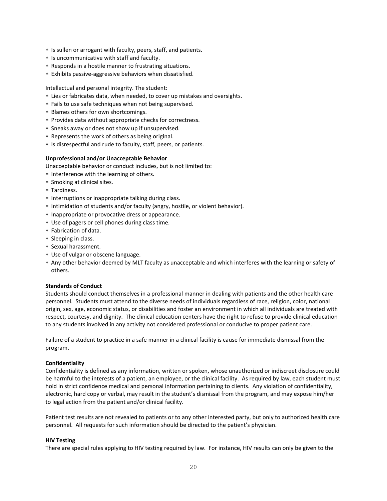- Is sullen or arrogant with faculty, peers, staff, and patients.
- Is uncommunicative with staff and faculty.
- Responds in a hostile manner to frustrating situations.
- Exhibits passive-aggressive behaviors when dissatisfied.

Intellectual and personal integrity. The student:

- Lies or fabricates data, when needed, to cover up mistakes and oversights.
- Fails to use safe techniques when not being supervised.
- Blames others for own shortcomings.
- Provides data without appropriate checks for correctness.
- Sneaks away or does not show up if unsupervised.
- Represents the work of others as being original.
- Is disrespectful and rude to faculty, staff, peers, or patients.

#### **Unprofessional and/or Unacceptable Behavior**

- Unacceptable behavior or conduct includes, but is not limited to:
- \* Interference with the learning of others.
- Smoking at clinical sites.
- Tardiness.
- \* Interruptions or inappropriate talking during class.
- Intimidation of students and/or faculty (angry, hostile, or violent behavior).
- Inappropriate or provocative dress or appearance.
- Use of pagers or cell phones during class time.
- Fabrication of data.
- Sleeping in class.
- Sexual harassment.
- Use of vulgar or obscene language.
- Any other behavior deemed by MLT faculty as unacceptable and which interferes with the learning or safety of others.

#### **Standards of Conduct**

Students should conduct themselves in a professional manner in dealing with patients and the other health care personnel. Students must attend to the diverse needs of individuals regardless of race, religion, color, national origin, sex, age, economic status, or disabilities and foster an environment in which all individuals are treated with respect, courtesy, and dignity. The clinical education centers have the right to refuse to provide clinical education to any students involved in any activity not considered professional or conducive to proper patient care.

Failure of a student to practice in a safe manner in a clinical facility is cause for immediate dismissal from the program.

#### **Confidentiality**

Confidentiality is defined as any information, written or spoken, whose unauthorized or indiscreet disclosure could be harmful to the interests of a patient, an employee, or the clinical facility. As required by law, each student must hold in strict confidence medical and personal information pertaining to clients. Any violation of confidentiality, electronic, hard copy or verbal, may result in the student's dismissal from the program, and may expose him/her to legal action from the patient and/or clinical facility.

Patient test results are not revealed to patients or to any other interested party, but only to authorized health care personnel. All requests for such information should be directed to the patient's physician.

#### **HIV Testing**

There are special rules applying to HIV testing required by law. For instance, HIV results can only be given to the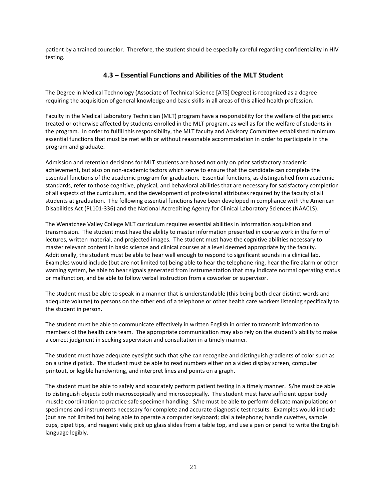patient by a trained counselor. Therefore, the student should be especially careful regarding confidentiality in HIV testing.

# **4.3 – Essential Functions and Abilities of the MLT Student**

The Degree in Medical Technology (Associate of Technical Science [ATS] Degree) is recognized as a degree requiring the acquisition of general knowledge and basic skills in all areas of this allied health profession.

Faculty in the Medical Laboratory Technician (MLT) program have a responsibility for the welfare of the patients treated or otherwise affected by students enrolled in the MLT program, as well as for the welfare of students in the program. In order to fulfill this responsibility, the MLT faculty and Advisory Committee established minimum essential functions that must be met with or without reasonable accommodation in order to participate in the program and graduate.

Admission and retention decisions for MLT students are based not only on prior satisfactory academic achievement, but also on non-academic factors which serve to ensure that the candidate can complete the essential functions of the academic program for graduation. Essential functions, as distinguished from academic standards, refer to those cognitive, physical, and behavioral abilities that are necessary for satisfactory completion of all aspects of the curriculum, and the development of professional attributes required by the faculty of all students at graduation. The following essential functions have been developed in compliance with the American Disabilities Act (PL101-336) and the National Accrediting Agency for Clinical Laboratory Sciences (NAACLS).

The Wenatchee Valley College MLT curriculum requires essential abilities in information acquisition and transmission. The student must have the ability to master information presented in course work in the form of lectures, written material, and projected images. The student must have the cognitive abilities necessary to master relevant content in basic science and clinical courses at a level deemed appropriate by the faculty. Additionally, the student must be able to hear well enough to respond to significant sounds in a clinical lab. Examples would include (but are not limited to) being able to hear the telephone ring, hear the fire alarm or other warning system, be able to hear signals generated from instrumentation that may indicate normal operating status or malfunction, and be able to follow verbal instruction from a coworker or supervisor.

The student must be able to speak in a manner that is understandable (this being both clear distinct words and adequate volume) to persons on the other end of a telephone or other health care workers listening specifically to the student in person.

The student must be able to communicate effectively in written English in order to transmit information to members of the health care team. The appropriate communication may also rely on the student's ability to make a correct judgment in seeking supervision and consultation in a timely manner.

The student must have adequate eyesight such that s/he can recognize and distinguish gradients of color such as on a urine dipstick. The student must be able to read numbers either on a video display screen, computer printout, or legible handwriting, and interpret lines and points on a graph.

The student must be able to safely and accurately perform patient testing in a timely manner. S/he must be able to distinguish objects both macroscopically and microscopically. The student must have sufficient upper body muscle coordination to practice safe specimen handling. S/he must be able to perform delicate manipulations on specimens and instruments necessary for complete and accurate diagnostic test results. Examples would include (but are not limited to) being able to operate a computer keyboard; dial a telephone; handle cuvettes, sample cups, pipet tips, and reagent vials; pick up glass slides from a table top, and use a pen or pencil to write the English language legibly.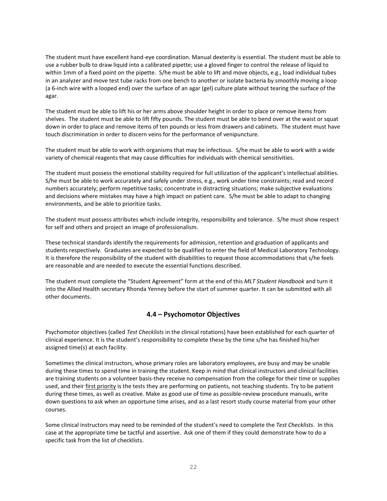The student must have excellent hand-eye coordination. Manual dexterity is essential. The student must be able to use a rubber bulb to draw liquid into a calibrated pipette; use a gloved finger to control the release of liquid to within 1mm of a fixed point on the pipette. S/he must be able to lift and move objects, e.g., load individual tubes in an analyzer and move test tube racks from one bench to another or isolate bacteria by smoothly moving a loop (a 6-inch wire with a looped end) over the surface of an agar (gel) culture plate without tearing the surface of the agar.

The student must be able to lift his or her arms above shoulder height in order to place or remove items from shelves. The student must be able to lift fifty pounds. The student must be able to bend over at the waist or squat down in order to place and remove items of ten pounds or less from drawers and cabinets. The student must have touch discrimination in order to discern veins for the performance of venipuncture.

The student must be able to work with organisms that may be infectious. S/he must be able to work with a wide variety of chemical reagents that may cause difficulties for individuals with chemical sensitivities.

The student must possess the emotional stability required for full utilization of the applicant's intellectual abilities. S/he must be able to work accurately and safely under stress, e.g., work under time constraints; read and record numbers accurately; perform repetitive tasks; concentrate in distracting situations; make subjective evaluations and decisions where mistakes may have a high impact on patient care. S/he must be able to adapt to changing environments, and be able to prioritize tasks.

The student must possess attributes which include integrity, responsibility and tolerance. S/he must show respect for self and others and project an image of professionalism.

These technical standards identify the requirements for admission, retention and graduation of applicants and students respectively. Graduates are expected to be qualified to enter the field of Medical Laboratory Technology. It is therefore the responsibility of the student with disabilities to request those accommodations that s/he feels are reasonable and are needed to execute the essential functions described.

The student must complete the "Student Agreement" form at the end of this *MLT Student Handbook* and turn it into the Allied Health secretary Rhonda Yenney before the start of summer quarter. It can be submitted with all other documents.

# **4.4 – Psychomotor Objectives**

Psychomotor objectives (called *Test Checklists* in the clinical rotations) have been established for each quarter of clinical experience. It is the student's responsibility to complete these by the time s/he has finished his/her assigned time(s) at each facility.

Sometimes the clinical instructors, whose primary roles are laboratory employees, are busy and may be unable during these times to spend time in training the student. Keep in mind that clinical instructors and clinical facilities are training students on a volunteer basis-they receive no compensation from the college for their time or supplies used, and their first priority is the tests they are performing on patients, not teaching students. Try to be patient during these times, as well as creative. Make as good use of time as possible-review procedure manuals, write down questions to ask when an opportune time arises, and as a last resort study course material from your other courses.

Some clinical instructors may need to be reminded of the student's need to complete the *Test Checklists*. In this case at the appropriate time be tactful and assertive. Ask one of them if they could demonstrate how to do a specific task from the list of checklists.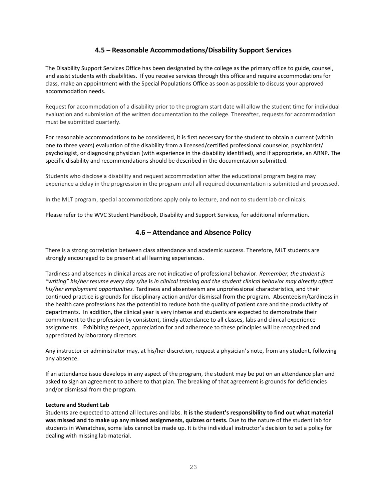# **4.5 – Reasonable Accommodations/Disability Support Services**

The Disability Support Services Office has been designated by the college as the primary office to guide, counsel, and assist students with disabilities. If you receive services through this office and require accommodations for class, make an appointment with the Special Populations Office as soon as possible to discuss your approved accommodation needs.

Request for accommodation of a disability prior to the program start date will allow the student time for individual evaluation and submission of the written documentation to the college. Thereafter, requests for accommodation must be submitted quarterly.

For reasonable accommodations to be considered, it is first necessary for the student to obtain a current (within one to three years) evaluation of the disability from a licensed/certified professional counselor, psychiatrist/ psychologist, or diagnosing physician (with experience in the disability identified), and if appropriate, an ARNP. The specific disability and recommendations should be described in the documentation submitted.

Students who disclose a disability and request accommodation after the educational program begins may experience a delay in the progression in the program until all required documentation is submitted and processed.

In the MLT program, special accommodations apply only to lecture, and not to student lab or clinicals.

Please refer to the WVC Student Handbook, Disability and Support Services, for additional information.

# **4.6 – Attendance and Absence Policy**

There is a strong correlation between class attendance and academic success. Therefore, MLT students are strongly encouraged to be present at all learning experiences.

Tardiness and absences in clinical areas are not indicative of professional behavior. *Remember, the student is "writing" his/her resume every day s/he* is *in clinical training and the student clinical behavior may directly affect his/her employment opportunities.* Tardiness and absenteeism are unprofessional characteristics, and their continued practice is grounds for disciplinary action and/or dismissal from the program. Absenteeism/tardiness in the health care professions has the potential to reduce both the quality of patient care and the productivity of departments. In addition, the clinical year is very intense and students are expected to demonstrate their commitment to the profession by consistent, timely attendance to all classes, labs and clinical experience assignments. Exhibiting respect, appreciation for and adherence to these principles will be recognized and appreciated by laboratory directors.

Any instructor or administrator may, at his/her discretion, request a physician's note, from any student, following any absence.

If an attendance issue develops in any aspect of the program, the student may be put on an attendance plan and asked to sign an agreement to adhere to that plan. The breaking of that agreement is grounds for deficiencies and/or dismissal from the program.

#### **Lecture and Student Lab**

Students are expected to attend all lectures and labs. **It is the student's responsibility to find out what material was missed and to make up any missed assignments, quizzes or tests.** Due to the nature of the student lab for students in Wenatchee, some labs cannot be made up. It is the individual instructor's decision to set a policy for dealing with missing lab material.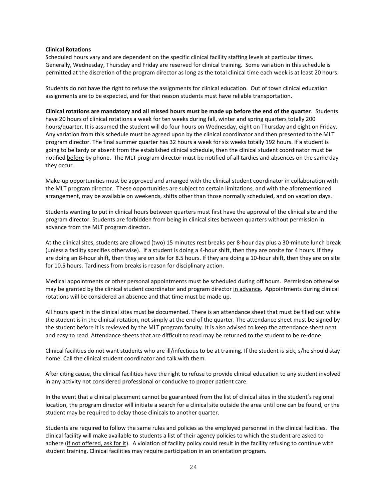#### **Clinical Rotations**

Scheduled hours vary and are dependent on the specific clinical facility staffing levels at particular times. Generally, Wednesday, Thursday and Friday are reserved for clinical training. Some variation in this schedule is permitted at the discretion of the program director as long as the total clinical time each week is at least 20 hours.

Students do not have the right to refuse the assignments for clinical education. Out of town clinical education assignments are to be expected, and for that reason students must have reliable transportation.

**Clinical rotations are mandatory and all missed hours must be made up before the end of the quarter**. Students have 20 hours of clinical rotations a week for ten weeks during fall, winter and spring quarters totally 200 hours/quarter. It is assumed the student will do four hours on Wednesday, eight on Thursday and eight on Friday. Any variation from this schedule must be agreed upon by the clinical coordinator and then presented to the MLT program director. The final summer quarter has 32 hours a week for six weeks totally 192 hours. If a student is going to be tardy or absent from the established clinical schedule, then the clinical student coordinator must be notified before by phone. The MLT program director must be notified of all tardies and absences on the same day they occur.

Make-up opportunities must be approved and arranged with the clinical student coordinator in collaboration with the MLT program director. These opportunities are subject to certain limitations, and with the aforementioned arrangement, may be available on weekends, shifts other than those normally scheduled, and on vacation days.

Students wanting to put in clinical hours between quarters must first have the approval of the clinical site and the program director. Students are forbidden from being in clinical sites between quarters without permission in advance from the MLT program director.

At the clinical sites, students are allowed (two) 15 minutes rest breaks per 8-hour day plus a 30-minute lunch break (unless a facility specifies otherwise). If a student is doing a 4-hour shift, then they are onsite for 4 hours. If they are doing an 8-hour shift, then they are on site for 8.5 hours. If they are doing a 10-hour shift, then they are on site for 10.5 hours. Tardiness from breaks is reason for disciplinary action.

Medical appointments or other personal appointments must be scheduled during off hours. Permission otherwise may be granted by the clinical student coordinator and program director in advance. Appointments during clinical rotations will be considered an absence and that time must be made up.

All hours spent in the clinical sites must be documented. There is an attendance sheet that must be filled out while the student is in the clinical rotation, not simply at the end of the quarter. The attendance sheet must be signed by the student before it is reviewed by the MLT program faculty. It is also advised to keep the attendance sheet neat and easy to read. Attendance sheets that are difficult to read may be returned to the student to be re-done.

Clinical facilities do not want students who are ill/infectious to be at training. If the student is sick, s/he should stay home. Call the clinical student coordinator and talk with them.

After citing cause, the clinical facilities have the right to refuse to provide clinical education to any student involved in any activity not considered professional or conducive to proper patient care.

In the event that a clinical placement cannot be guaranteed from the list of clinical sites in the student's regional location, the program director will initiate a search for a clinical site outside the area until one can be found, or the student may be required to delay those clinicals to another quarter.

Students are required to follow the same rules and policies as the employed personnel in the clinical facilities. The clinical facility will make available to students a list of their agency policies to which the student are asked to adhere (if not offered, ask for it). A violation of facility policy could result in the facility refusing to continue with student training. Clinical facilities may require participation in an orientation program.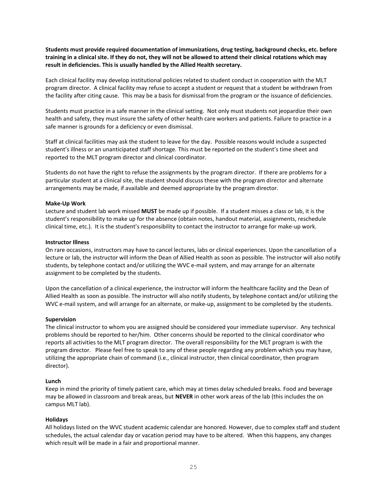**Students must provide required documentation of immunizations, drug testing, background checks, etc. before training in a clinical site. If they do not, they will not be allowed to attend their clinical rotations which may result in deficiencies. This is usually handled by the Allied Health secretary.**

Each clinical facility may develop institutional policies related to student conduct in cooperation with the MLT program director. A clinical facility may refuse to accept a student or request that a student be withdrawn from the facility after citing cause. This may be a basis for dismissal from the program or the issuance of deficiencies.

Students must practice in a safe manner in the clinical setting. Not only must students not jeopardize their own health and safety, they must insure the safety of other health care workers and patients. Failure to practice in a safe manner is grounds for a deficiency or even dismissal.

Staff at clinical facilities may ask the student to leave for the day. Possible reasons would include a suspected student's illness or an unanticipated staff shortage. This must be reported on the student's time sheet and reported to the MLT program director and clinical coordinator.

Students do not have the right to refuse the assignments by the program director. If there are problems for a particular student at a clinical site, the student should discuss these with the program director and alternate arrangements may be made, if available and deemed appropriate by the program director.

#### **Make-Up Work**

Lecture and student lab work missed **MUST** be made up if possible. If a student misses a class or lab, it is the student's responsibility to make up for the absence (obtain notes, handout material, assignments, reschedule clinical time, etc.). It is the student's responsibility to contact the instructor to arrange for make-up work.

#### **Instructor Illness**

On rare occasions, instructors may have to cancel lectures, labs or clinical experiences. Upon the cancellation of a lecture or lab, the instructor will inform the Dean of Allied Health as soon as possible. The instructor will also notify students, by telephone contact and/or utilizing the WVC e-mail system, and may arrange for an alternate assignment to be completed by the students.

Upon the cancellation of a clinical experience, the instructor will inform the healthcare facility and the Dean of Allied Health as soon as possible. The instructor will also notify students, by telephone contact and/or utilizing the WVC e-mail system, and will arrange for an alternate, or make-up, assignment to be completed by the students.

#### **Supervision**

The clinical instructor to whom you are assigned should be considered your immediate supervisor. Any technical problems should be reported to her/him. Other concerns should be reported to the clinical coordinator who reports all activities to the MLT program director. The overall responsibility for the MLT program is with the program director. Please feel free to speak to any of these people regarding any problem which you may have, utilizing the appropriate chain of command (i.e., clinical instructor, then clinical coordinator, then program director).

#### **Lunch**

Keep in mind the priority of timely patient care, which may at times delay scheduled breaks. Food and beverage may be allowed in classroom and break areas, but **NEVER** in other work areas of the lab (this includes the on campus MLT lab).

#### **Holidays**

All holidays listed on the WVC student academic calendar are honored. However, due to complex staff and student schedules, the actual calendar day or vacation period may have to be altered. When this happens, any changes which result will be made in a fair and proportional manner.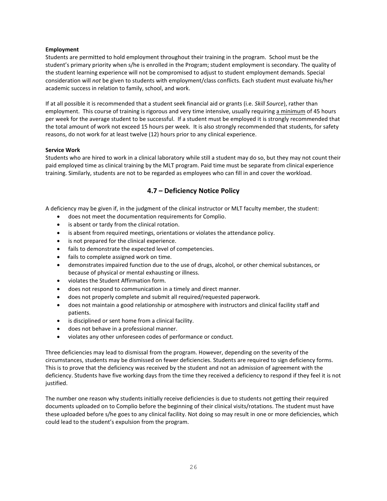#### **Employment**

Students are permitted to hold employment throughout their training in the program. School must be the student's primary priority when s/he is enrolled in the Program; student employment is secondary. The quality of the student learning experience will not be compromised to adjust to student employment demands. Special consideration will *not* be given to students with employment/class conflicts. Each student must evaluate his/her academic success in relation to family, school, and work.

If at all possible it is recommended that a student seek financial aid or grants (i.e. *Skill Source*), rather than employment. This course of training is rigorous and very time intensive, usually requiring a minimum of 45 hours per week for the average student to be successful. If a student must be employed it is strongly recommended that the total amount of work not exceed 15 hours per week. It is also strongly recommended that students, for safety reasons, do not work for at least twelve (12) hours prior to any clinical experience.

#### **Service Work**

Students who are hired to work in a clinical laboratory while still a student may do so, but they may not count their paid employed time as clinical training by the MLT program. Paid time must be separate from clinical experience training. Similarly, students are not to be regarded as employees who can fill in and cover the workload.

# **4.7 – Deficiency Notice Policy**

A deficiency may be given if, in the judgment of the clinical instructor or MLT faculty member, the student:

- does not meet the documentation requirements for Complio.
- is absent or tardy from the clinical rotation.
- is absent from required meetings, orientations or violates the attendance policy.
- is not prepared for the clinical experience.
- fails to demonstrate the expected level of competencies.
- fails to complete assigned work on time.
- demonstrates impaired function due to the use of drugs, alcohol, or other chemical substances, or because of physical or mental exhausting or illness.
- violates the Student Affirmation form.
- does not respond to communication in a timely and direct manner.
- does not properly complete and submit all required/requested paperwork.
- does not maintain a good relationship or atmosphere with instructors and clinical facility staff and patients.
- is disciplined or sent home from a clinical facility.
- does not behave in a professional manner.
- violates any other unforeseen codes of performance or conduct.

Three deficiencies may lead to dismissal from the program. However, depending on the severity of the circumstances, students may be dismissed on fewer deficiencies. Students are required to sign deficiency forms. This is to prove that the deficiency was received by the student and not an admission of agreement with the deficiency. Students have five working days from the time they received a deficiency to respond if they feel it is not justified.

The number one reason why students initially receive deficiencies is due to students not getting their required documents uploaded on to Complio before the beginning of their clinical visits/rotations. The student must have these uploaded before s/he goes to any clinical facility. Not doing so may result in one or more deficiencies, which could lead to the student's expulsion from the program.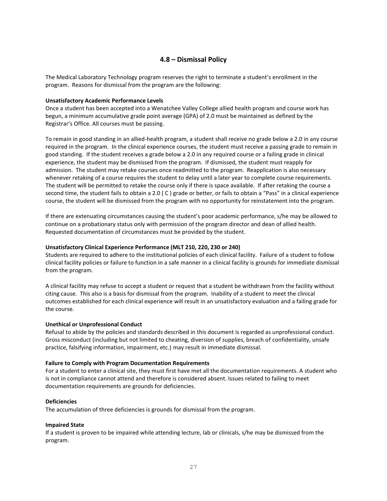# **4.8 – Dismissal Policy**

The Medical Laboratory Technology program reserves the right to terminate a student's enrollment in the program. Reasons for dismissal from the program are the following:

#### **Unsatisfactory Academic Performance Levels**

Once a student has been accepted into a Wenatchee Valley College allied health program and course work has begun, a minimum accumulative grade point average (GPA) of 2.0 must be maintained as defined by the Registrar's Office. All courses must be passing.

To remain in good standing in an allied-health program, a student shall receive no grade below a 2.0 in any course required in the program. In the clinical experience courses, the student must receive a passing grade to remain in good standing. If the student receives a grade below a 2.0 in any required course or a failing grade in clinical experience, the student may be dismissed from the program. If dismissed, the student must reapply for admission. The student may retake courses once readmitted to the program. Reapplication is also necessary whenever retaking of a course requires the student to delay until a later year to complete course requirements. The student will be permitted to retake the course only if there is space available. If after retaking the course a second time, the student fails to obtain a 2.0 ( C ) grade or better, or fails to obtain a "Pass" in a clinical experience course, the student will be dismissed from the program with no opportunity for reinstatement into the program.

If there are extenuating circumstances causing the student's poor academic performance, s/he may be allowed to continue on a probationary status only with permission of the program director and dean of allied health. Requested documentation of circumstances must be provided by the student.

#### **Unsatisfactory Clinical Experience Performance (MLT 210, 220, 230 or 240)**

Students are required to adhere to the institutional policies of each clinical facility. Failure of a student to follow clinical facility policies or failure to function in a safe manner in a clinical facility is grounds for immediate dismissal from the program.

A clinical facility may refuse to accept a student or request that a student be withdrawn from the facility without citing cause. This also is a basis for dismissal from the program. Inability of a student to meet the clinical outcomes established for each clinical experience will result in an unsatisfactory evaluation and a failing grade for the course.

#### **Unethical or Unprofessional Conduct**

Refusal to abide by the policies and standards described in this document is regarded as unprofessional conduct. Gross misconduct (including but not limited to cheating, diversion of supplies, breach of confidentiality, unsafe practice, falsifying information, impairment, etc.) may result in immediate dismissal.

#### **Failure to Comply with Program Documentation Requirements**

For a student to enter a clinical site, they must first have met all the documentation requirements. A student who is not in compliance cannot attend and therefore is considered absent. Issues related to failing to meet documentation requirements are grounds for deficiencies.

#### **Deficiencies**

The accumulation of three deficiencies is grounds for dismissal from the program.

#### **Impaired State**

If a student is proven to be impaired while attending lecture, lab or clinicals, s/he may be dismissed from the program.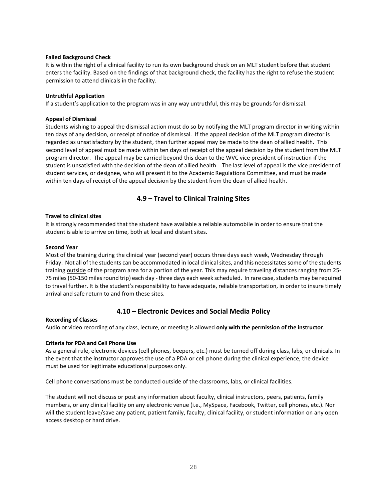#### **Failed Background Check**

It is within the right of a clinical facility to run its own background check on an MLT student before that student enters the facility. Based on the findings of that background check, the facility has the right to refuse the student permission to attend clinicals in the facility.

#### **Untruthful Application**

If a student's application to the program was in any way untruthful, this may be grounds for dismissal.

#### **Appeal of Dismissal**

Students wishing to appeal the dismissal action must do so by notifying the MLT program director in writing within ten days of any decision, or receipt of notice of dismissal. If the appeal decision of the MLT program director is regarded as unsatisfactory by the student, then further appeal may be made to the dean of allied health. This second level of appeal must be made within ten days of receipt of the appeal decision by the student from the MLT program director. The appeal may be carried beyond this dean to the WVC vice president of instruction if the student is unsatisfied with the decision of the dean of allied health. The last level of appeal is the vice president of student services, or designee, who will present it to the Academic Regulations Committee, and must be made within ten days of receipt of the appeal decision by the student from the dean of allied health.

# **4.9 – Travel to Clinical Training Sites**

#### **Travel to clinical sites**

It is strongly recommended that the student have available a reliable automobile in order to ensure that the student is able to arrive on time, both at local and distant sites.

#### **Second Year**

Most of the training during the clinical year (second year) occurs three days each week, Wednesday through Friday. Not all of the students can be accommodated in local clinical sites, and this necessitates some of the students training outside of the program area for a portion of the year. This may require traveling distances ranging from 25-75 miles (50-150 miles round trip) each day - three days each week scheduled. In rare case, students may be required to travel further. It is the student's responsibility to have adequate, reliable transportation, in order to insure timely arrival and safe return to and from these sites.

# **4.10 – Electronic Devices and Social Media Policy**

#### **Recording of Classes**

Audio or video recording of any class, lecture, or meeting is allowed **only with the permission of the instructor**.

#### **Criteria for PDA and Cell Phone Use**

As a general rule, electronic devices (cell phones, beepers, etc.) must be turned off during class, labs, or clinicals. In the event that the instructor approves the use of a PDA or cell phone during the clinical experience, the device must be used for legitimate educational purposes only.

Cell phone conversations must be conducted outside of the classrooms, labs, or clinical facilities.

The student will not discuss or post any information about faculty, clinical instructors, peers, patients, family members, or any clinical facility on any electronic venue (i.e., MySpace, Facebook, Twitter, cell phones, etc.). Nor will the student leave/save any patient, patient family, faculty, clinical facility, or student information on any open access desktop or hard drive.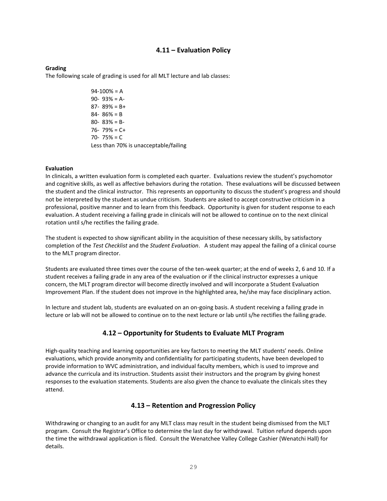# **4.11 – Evaluation Policy**

#### **Grading**

The following scale of grading is used for all MLT lecture and lab classes:

94-100% = A 90- 93% = A-87- 89% = B+ 84- 86% = B 80- 83% = B-76- 79% = C+ 70- 75% = C Less than 70% is unacceptable/failing

#### **Evaluation**

In clinicals, a written evaluation form is completed each quarter. Evaluations review the student's psychomotor and cognitive skills, as well as affective behaviors during the rotation. These evaluations will be discussed between the student and the clinical instructor. This represents an opportunity to discuss the student's progress and should not be interpreted by the student as undue criticism. Students are asked to accept constructive criticism in a professional, positive manner and to learn from this feedback. Opportunity is given for student response to each evaluation. A student receiving a failing grade in clinicals will not be allowed to continue on to the next clinical rotation until s/he rectifies the failing grade.

The student is expected to show significant ability in the acquisition of these necessary skills, by satisfactory completion of the *Test Checklist* and the *Student Evaluation*. A student may appeal the failing of a clinical course to the MLT program director.

Students are evaluated three times over the course of the ten-week quarter; at the end of weeks 2, 6 and 10. If a student receives a failing grade in any area of the evaluation or if the clinical instructor expresses a unique concern, the MLT program director will become directly involved and will incorporate a Student Evaluation Improvement Plan. If the student does not improve in the highlighted area, he/she may face disciplinary action.

In lecture and student lab, students are evaluated on an on-going basis. A student receiving a failing grade in lecture or lab will not be allowed to continue on to the next lecture or lab until s/he rectifies the failing grade.

# **4.12 – Opportunity for Students to Evaluate MLT Program**

High-quality teaching and learning opportunities are key factors to meeting the MLT students' needs. Online evaluations, which provide anonymity and confidentiality for participating students, have been developed to provide information to WVC administration, and individual faculty members, which is used to improve and advance the curricula and its instruction. Students assist their instructors and the program by giving honest responses to the evaluation statements. Students are also given the chance to evaluate the clinicals sites they attend.

# **4.13 – Retention and Progression Policy**

Withdrawing or changing to an audit for any MLT class may result in the student being dismissed from the MLT program. Consult the Registrar's Office to determine the last day for withdrawal. Tuition refund depends upon the time the withdrawal application is filed. Consult the Wenatchee Valley College Cashier (Wenatchi Hall) for details.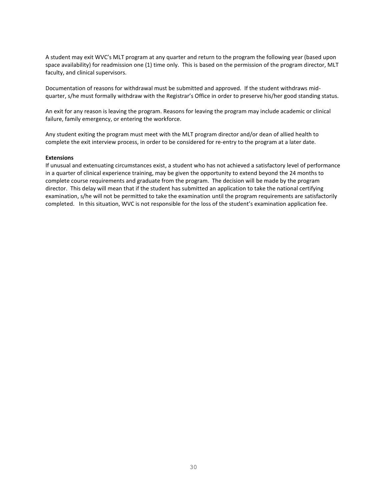A student may exit WVC's MLT program at any quarter and return to the program the following year (based upon space availability) for readmission one (1) time only. This is based on the permission of the program director, MLT faculty, and clinical supervisors.

Documentation of reasons for withdrawal must be submitted and approved. If the student withdraws midquarter, s/he must formally withdraw with the Registrar's Office in order to preserve his/her good standing status.

An exit for any reason is leaving the program. Reasons for leaving the program may include academic or clinical failure, family emergency, or entering the workforce.

Any student exiting the program must meet with the MLT program director and/or dean of allied health to complete the exit interview process, in order to be considered for re-entry to the program at a later date.

#### **Extensions**

If unusual and extenuating circumstances exist, a student who has not achieved a satisfactory level of performance in a quarter of clinical experience training, may be given the opportunity to extend beyond the 24 months to complete course requirements and graduate from the program. The decision will be made by the program director. This delay will mean that if the student has submitted an application to take the national certifying examination, s/he will not be permitted to take the examination until the program requirements are satisfactorily completed. In this situation, WVC is not responsible for the loss of the student's examination application fee.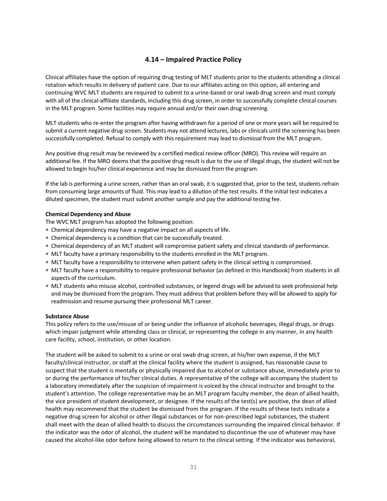# **4.14 – Impaired Practice Policy**

Clinical affiliates have the option of requiring drug testing of MLT students prior to the students attending a clinical rotation which results in delivery of patient care. Due to our affiliates acting on this option, all entering and continuing WVC MLT students are required to submit to a urine-based or oral swab drug screen and must comply with all of the clinical-affiliate standards, including this drug screen, in order to successfully complete clinical courses in the MLT program. Some facilities may require annual and/or their own drug screening.

MLT students who re-enter the program after having withdrawn for a period of one or more years will be required to submit a current negative drug screen. Students may not attend lectures, labs or clinicals until the screening has been successfully completed. Refusal to comply with this requirement may lead to dismissal from the MLT program.

Any positive drug result may be reviewed by a certified medical review officer (MRO). This review will require an additional fee. If the MRO deems that the positive drug result is due to the use of illegal drugs, the student will not be allowed to begin his/her clinical experience and may be dismissed from the program.

If the lab is performing a urine screen, rather than an oral swab, it is suggested that, prior to the test, students refrain from consuming large amounts of fluid. This may lead to a dilution of the test results. If the initial test indicates a diluted specimen, the student must submit another sample and pay the additional testing fee.

#### **Chemical Dependency and Abuse**

The WVC MLT program has adopted the following position:

- Chemical dependency may have a negative impact on all aspects of life.
- Chemical dependency is a condition that can be successfully treated.
- Chemical dependency of an MLT student will compromise patient safety and clinical standards of performance.
- MLT faculty have a primary responsibility to the students enrolled in the MLT program.
- MLT faculty have a responsibility to intervene when patient safety in the clinical setting is compromised.
- MLT faculty have a responsibility to require professional behavior (as defined in this Handbook) from students in all aspects of the curriculum.
- MLT students who misuse alcohol, controlled substances, or legend drugs will be advised to seek professional help and may be dismissed from the program. They must address that problem before they will be allowed to apply for readmission and resume pursuing their professional MLT career.

#### **Substance Abuse**

This policy refers to the use/misuse of or being under the influence of alcoholic beverages, illegal drugs, or drugs which impair judgment while attending class or clinical, or representing the college in any manner, in any health care facility, school, institution, or other location.

The student will be asked to submit to a urine or oral swab drug screen, at his/her own expense, if the MLT faculty/clinical instructor, or staff at the clinical facility where the student is assigned, has reasonable cause to suspect that the student is mentally or physically impaired due to alcohol or substance abuse, immediately prior to or during the performance of his/her clinical duties. A representative of the college will accompany the student to a laboratory immediately after the suspicion of impairment is voiced by the clinical instructor and brought to the student's attention. The college representative may be an MLT program faculty member, the dean of allied health, the vice president of student development, or designee. If the results of the test(s) are positive, the dean of allied health may recommend that the student be dismissed from the program. If the results of these tests indicate a negative drug screen for alcohol or other illegal substances or for non-prescribed legal substances, the student shall meet with the dean of allied health to discuss the circumstances surrounding the impaired clinical behavior. If the indicator was the odor of alcohol, the student will be mandated to discontinue the use of whatever may have caused the alcohol-like odor before being allowed to return to the clinical setting. If the indicator was behavioral,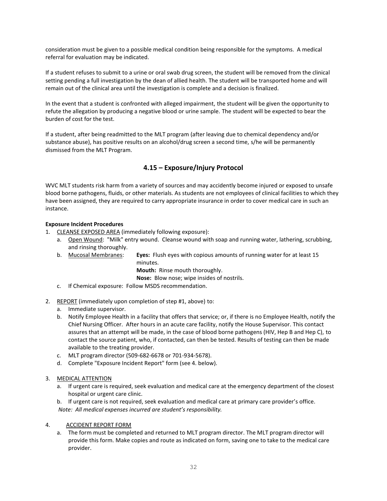consideration must be given to a possible medical condition being responsible for the symptoms. A medical referral for evaluation may be indicated.

If a student refuses to submit to a urine or oral swab drug screen, the student will be removed from the clinical setting pending a full investigation by the dean of allied health. The student will be transported home and will remain out of the clinical area until the investigation is complete and a decision is finalized.

In the event that a student is confronted with alleged impairment, the student will be given the opportunity to refute the allegation by producing a negative blood or urine sample. The student will be expected to bear the burden of cost for the test.

If a student, after being readmitted to the MLT program (after leaving due to chemical dependency and/or substance abuse), has positive results on an alcohol/drug screen a second time, s/he will be permanently dismissed from the MLT Program.

# **4.15 – Exposure/Injury Protocol**

WVC MLT students risk harm from a variety of sources and may accidently become injured or exposed to unsafe blood borne pathogens, fluids, or other materials. As students are not employees of clinical facilities to which they have been assigned, they are required to carry appropriate insurance in order to cover medical care in such an instance.

### **Exposure Incident Procedures**

- 1. CLEANSE EXPOSED AREA (immediately following exposure):
	- a. Open Wound: "Milk" entry wound. Cleanse wound with soap and running water, lathering, scrubbing, and rinsing thoroughly.
	- b. Mucosal Membranes: **Eyes:** Flush eyes with copious amounts of running water for at least 15 minutes.

**Mouth:** Rinse mouth thoroughly.

**Nose:** Blow nose; wipe insides of nostrils.

- c. If Chemical exposure: Follow MSDS recommendation.
- 2. REPORT (immediately upon completion of step #1, above) to:
	- a. Immediate supervisor.
	- b. Notify Employee Health in a facility that offers that service; or, if there is no Employee Health, notify the Chief Nursing Officer. After hours in an acute care facility, notify the House Supervisor. This contact assures that an attempt will be made, in the case of blood borne pathogens (HIV, Hep B and Hep C), to contact the source patient, who, if contacted, can then be tested. Results of testing can then be made available to the treating provider.
	- c. MLT program director (509-682-6678 or 701-934-5678).
	- d. Complete "Exposure Incident Report" form (see 4. below).

#### 3. MEDICAL ATTENTION

- a. If urgent care is required, seek evaluation and medical care at the emergency department of the closest hospital or urgent care clinic.
- b. If urgent care is not required, seek evaluation and medical care at primary care provider's office. *Note: All medical expenses incurred are student's responsibility.*
- 4. ACCIDENT REPORT FORM
	- a. The form must be completed and returned to MLT program director. The MLT program director will provide this form. Make copies and route as indicated on form, saving one to take to the medical care provider.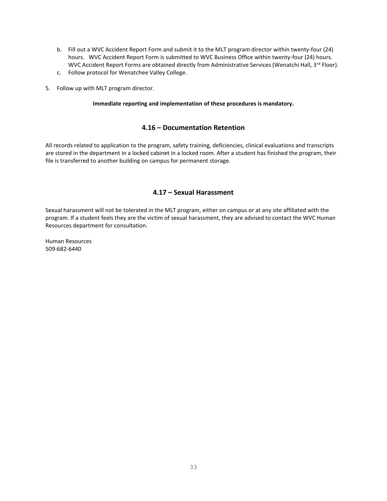- b. Fill out a WVC Accident Report Form and submit it to the MLT program director within twenty-four (24) hours. WVC Accident Report Form is submitted to WVC Business Office within twenty-four (24) hours. WVC Accident Report Forms are obtained directly from Administrative Services (Wenatchi Hall, 3<sup>rd</sup> Floor).
- c. Follow protocol for Wenatchee Valley College.
- 5. Follow up with MLT program director.

#### **Immediate reporting and implementation of these procedures is mandatory.**

# **4.16 – Documentation Retention**

All records related to application to the program, safety training, deficiencies, clinical evaluations and transcripts are stored in the department in a locked cabinet in a locked room. After a student has finished the program, their file is transferred to another building on campus for permanent storage.

# **4.17 – Sexual Harassment**

Sexual harassment will not be tolerated in the MLT program, either on campus or at any site affiliated with the program. If a student feels they are the victim of sexual harassment, they are advised to contact the WVC Human Resources department for consultation.

Human Resources 509-682-6440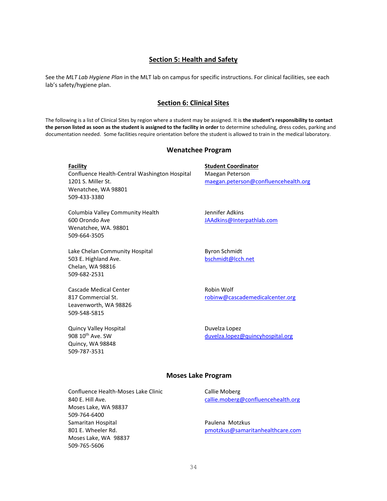#### **Section 5: Health and Safety**

See the *MLT Lab Hygiene Plan* in the MLT lab on campus for specific instructions. For clinical facilities, see each lab's safety/hygiene plan.

#### **Section 6: Clinical Sites**

The following is a list of Clinical Sites by region where a student may be assigned. It is **the student's responsibility to contact the person listed as soon as the student is assigned to the facility in order** to determine scheduling, dress codes, parking and documentation needed. Some facilities require orientation before the student is allowed to train in the medical laboratory.

#### **Wenatchee Program**

**Facility Eacility COO Eacility COO EXECUTE: COO EXECUTE: COO EXECUTE: COO COO EXECUTE: COO COO COO COO COO COO COO COO COO COO COO COO COO COO COO COO COO COO**

Confluence Health-Central Washington Hospital Maegan Peterson 1201 S. Miller St. [maegan.peterson@confluencehealth.org](mailto:maegan.peterson@confluencehealth.org) Wenatchee, WA 98801 509-433-3380

Columbia Valley Community Health Jennifer Adkins 600 Orondo Ave [JAAdkins@Interpathlab.com](mailto:JAAdkins@Interpathlab.com) Wenatchee, WA. 98801 509-664-3505

Lake Chelan Community Hospital Byron Schmidt 503 E. Highland Ave. [bschmidt@lcch.net](mailto:bschmidt@lcch.net) Chelan, WA 98816 509-682-2531

Leavenworth, WA 98826

509-548-5815

Quincy, WA 98848 509-787-3531

Cascade Medical Center **Robin Wolf** 817 Commercial St. et al. [robinw@cascademedicalcenter.org](mailto:robinw@cascademedicalcenter.org)

Quincy Valley Hospital Duvelza Lopez 908 10th Ave. SW [duvelza.lopez@quincyhospital.org](mailto:duvelza.lopez@quincyhospital.org)

#### **Moses Lake Program**

Confluence Health-Moses Lake Clinic Callie Moberg Moses Lake, WA 98837 509-764-6400 Samaritan Hospital **Paulena Motzkus** Paulena Motzkus Moses Lake, WA 98837 509-765-5606

840 E. Hill Ave. **[callie.moberg@confluencehealth.org](mailto:callie.moberg@confluencehealth.org)** callie.moberg@confluencehealth.org

801 E. Wheeler Rd. et al. [pmotzkus@samaritanhealthcare.com](mailto:pmotzkus@samaritanhealthcare.com)

34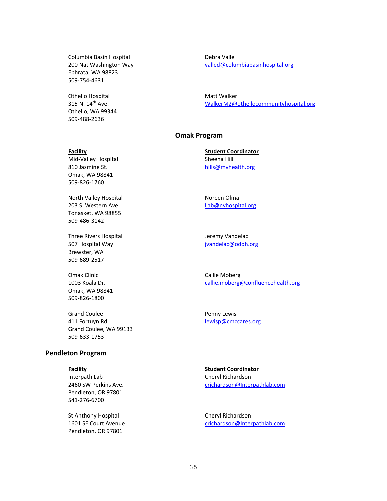Columbia Basin Hospital **Debra Valle** Ephrata, WA 98823 509-754-4631

Othello Hospital Matt Walker Othello, WA 99344 509-488-2636

200 Nat Washington Way [valled@columbiabasinhospital.org](mailto:valled@columbiabasinhospital.org)

315 N. 14th Ave. [WalkerM2@othellocommunityhospital.org](mailto:WalkerM2@othellocommunityhospital.org)

# **Omak Program**

Omak, WA 98841 509-826-1760

North Valley Hospital Noreen Olma 203 S. Western Ave. **[Lab@nvhospital.org](mailto:Lab@nvhospital.org)** Tonasket, WA 98855 509-486-3142

Three Rivers Hospital and Three Rivers Hospital and Three Rivers Hospital 507 Hospital Way ivandelac@oddh.org Brewster, WA 509-689-2517

Omak Clinic **Callie Moberg** Callie Moberg Omak, WA 98841 509-826-1800

Grand Coulee **Penny Lewis** Penny Lewis 411 Fortuyn Rd. lewisp and lewisp and lewisp are lewisp and lewisp are lewisp and lewisp are leaders. Grand Coulee, WA 99133 509-633-1753

# **Pendleton Program**

Interpath Lab Cheryl Richardson<br>
2460 SW Perkins Ave. The Cheryl Richardson Cheryl Richardson Pendleton, OR 97801 541-276-6700

Pendleton, OR 97801

**Facility Student Coordinator** Mid-Valley Hospital Sheena Hill 810 Jasmine St. [hills@mvhealth.org](mailto:hills@mvhealth.org)

1003 Koala Dr. [callie.moberg@confluencehealth.org](mailto:callie.moberg@confluencehealth.org)

# **Facility Student Coordinator** [crichardson@Interpathlab.com](mailto:crichardson@Interpathlab.com)

St Anthony Hospital Cheryl Richardson 1601 SE Court Avenue [crichardson@Interpathlab.com](mailto:crichardson@Interpathlab.com)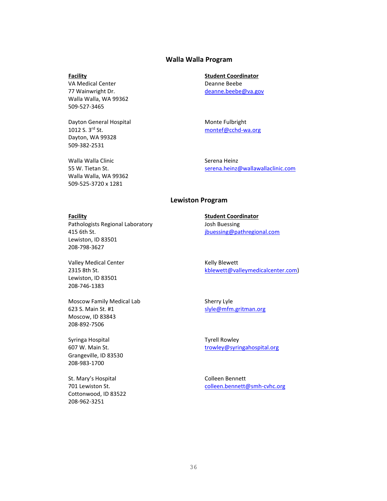# **Walla Walla Program**

VA Medical Center **Deanne Beebe** Walla Walla, WA 99362 509-527-3465

Dayton General Hospital Monte Fulbright<br>
1012 S. 3<sup>rd</sup> St. Monte Fulbright<br>
Monte for the Monte Fulbright Dayton, WA 99328 509-382-2531

Walla Walla Clinic **Serena Heinz** Serena Heinz Walla Walla, WA 99362 509-525-3720 x 1281

**Facility Eacility Eacility Eacility Student Coordinator** 77 Wainwright Dr. [deanne.beebe@va.gov](mailto:deanne.beebe@va.gov)

[montef@cchd-wa.org](mailto:montef@cchd-wa.org)

55 W. Tietan St. [serena.heinz@wallawallaclinic.com](mailto:serena.heinz@wallawallaclinic.com)

#### **Lewiston Program**

Pathologists Regional Laboratory **Mathologists Regional Laboratory** Josh Buessing Also the St. in the state of the state of the state is presented in the state of the state is presented in the state in the state is a state of the state in the state is a state of the state in the state in the state is a Lewiston, ID 83501 208-798-3627

Valley Medical Center **Kelly Blewett** Lewiston, ID 83501 208-746-1383

Moscow Family Medical Lab Sherry Lyle 623 S. Main St. #1 [slyle@mfm.gritman.org](mailto:slyle@mfm.gritman.org) Moscow, ID 83843 208-892-7506

Syringa Hospital **Tyrell Rowley** Grangeville, ID 83530 208-983-1700

St. Mary's Hospital Colleen Bennett Cottonwood, ID 83522 208-962-3251

**Facility** Student Coordinator

2315 8th St. [kblewett@valleymedicalcenter.com\)](mailto:kblewett@valleymedicalcenter.com)

607 W. Main St. [trowley@syringahospital.org](mailto:trowley@syringahospital.org)

701 Lewiston St. [colleen.bennett@smh-cvhc.org](mailto:colleen.bennett@smh-cvhc.org)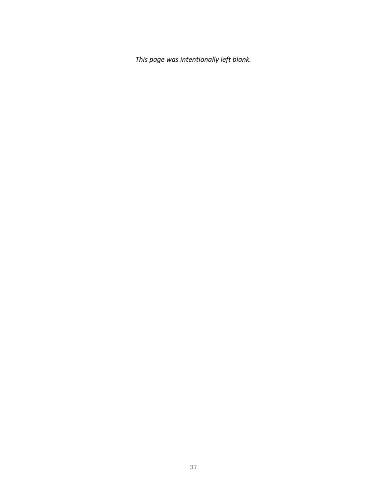*This page was intentionally left blank.*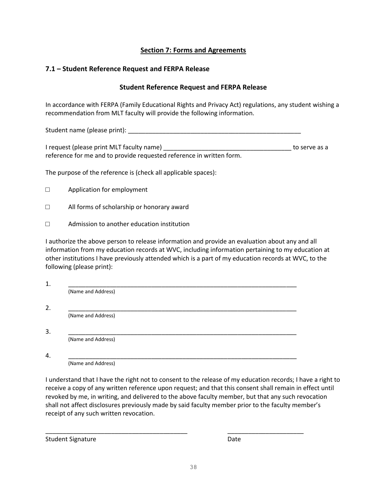# **Section 7: Forms and Agreements**

# **7.1 – Student Reference Request and FERPA Release**

# **Student Reference Request and FERPA Release**

In accordance with FERPA (Family Educational Rights and Privacy Act) regulations, any student wishing a recommendation from MLT faculty will provide the following information.

Student name (please print): \_\_\_\_\_\_\_\_\_\_\_\_\_\_\_\_\_\_\_\_\_\_\_\_\_\_\_\_\_\_\_\_\_\_\_\_\_\_\_\_\_\_\_\_\_\_\_\_\_\_

I request (please print MLT faculty name) \_\_\_\_\_\_\_\_\_\_\_\_\_\_\_\_\_\_\_\_\_\_\_\_\_\_\_\_\_\_\_\_\_\_\_\_\_ to serve as a reference for me and to provide requested reference in written form.

The purpose of the reference is (check all applicable spaces):

- □ Application for employment
- □ All forms of scholarship or honorary award
- $\neg$  Admission to another education institution

I authorize the above person to release information and provide an evaluation about any and all information from my education records at WVC, including information pertaining to my education at other institutions I have previously attended which is a part of my education records at WVC, to the following (please print):

| (Name and Address) |  |  |
|--------------------|--|--|
|                    |  |  |
| (Name and Address) |  |  |
|                    |  |  |
| (Name and Address) |  |  |
|                    |  |  |
| (Name and Address) |  |  |

\_\_\_\_\_\_\_\_\_\_\_\_\_\_\_\_\_\_\_\_\_\_\_\_\_\_\_\_\_\_\_\_\_\_\_\_\_\_\_\_\_ \_\_\_\_\_\_\_\_\_\_\_\_\_\_\_\_\_\_\_\_\_\_

I understand that I have the right not to consent to the release of my education records; I have a right to receive a copy of any written reference upon request; and that this consent shall remain in effect until revoked by me, in writing, and delivered to the above faculty member, but that any such revocation shall not affect disclosures previously made by said faculty member prior to the faculty member's receipt of any such written revocation.

Student Signature Date Date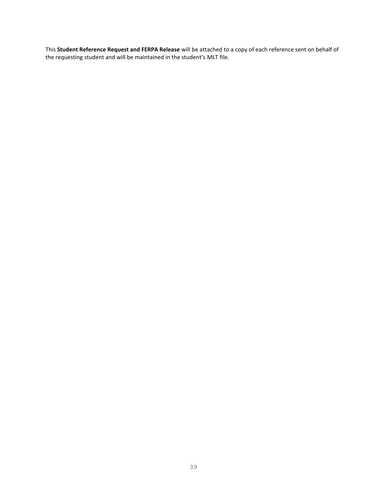This **Student Reference Request and FERPA Release** will be attached to a copy of each reference sent on behalf of the requesting student and will be maintained in the student's MLT file.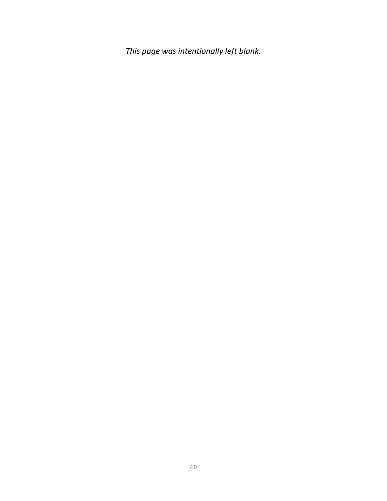*This page was intentionally left blank.*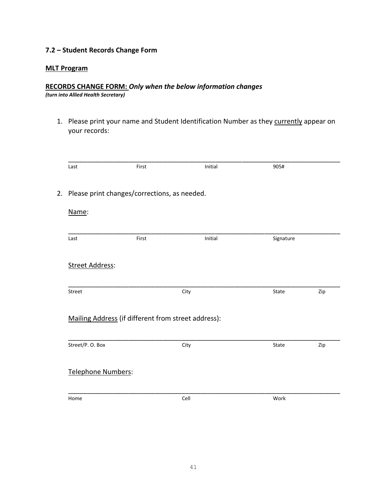# **7.2 – Student Records Change Form**

## **MLT Program**

# **RECORDS CHANGE FORM:** *Only when the below information changes*

*(turn into Allied Health Secretary)*

1. Please print your name and Student Identification Number as they currently appear on your records:

| Last               | First                                               | Initial | 905#      |     |
|--------------------|-----------------------------------------------------|---------|-----------|-----|
|                    | Please print changes/corrections, as needed.        |         |           |     |
| Name:              |                                                     |         |           |     |
| Last               | First                                               | Initial | Signature |     |
| Street Address:    |                                                     |         |           |     |
| Street             |                                                     | City    | State     | Zip |
|                    | Mailing Address (if different from street address): |         |           |     |
| Street/P.O.Box     |                                                     | City    | State     | Zip |
| Telephone Numbers: |                                                     |         |           |     |
| Home               |                                                     | Cell    | Work      |     |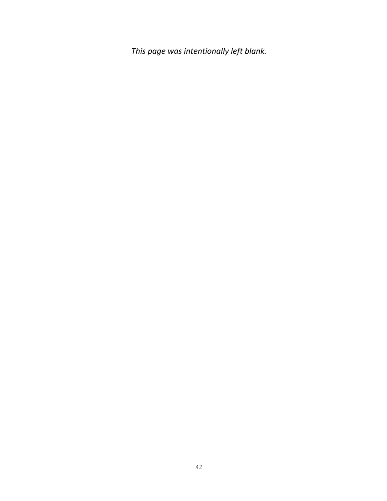*This page was intentionally left blank.*